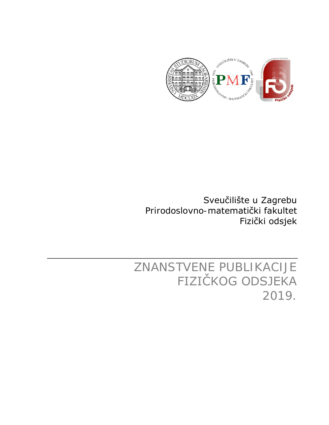

Sveučilište u Zagrebu Prirodoslovno-matematički fakultet Fizički odsjek

ZNANSTVENE PUBLIKACIJE FIZIČKOG ODSJEKA 2019.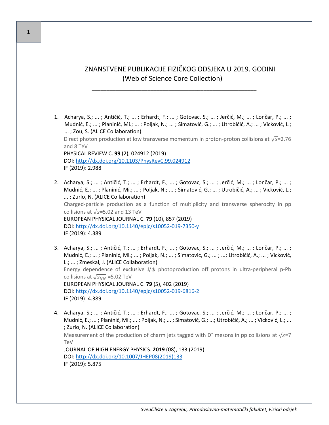## ZNANSTVENE PUBLIKACIJE FIZIČKOG ODSJEKA U 2019. GODINI (Web of Science Core Collection)

\_\_\_\_\_\_\_\_\_\_\_\_\_\_\_\_\_\_\_\_\_\_\_\_\_\_\_\_\_\_\_\_\_\_\_\_\_\_\_\_\_\_\_\_\_\_\_\_\_\_\_\_\_\_\_\_

- 1. Acharya, S.; ... ; Antičić, T.; ... ; Erhardt, F.; ... ; Gotovac, S.; ... ; Jerčić, M.; ... ; Lončar, P.; ... ; Mudnić, E.; ... ; Planinić, Mi.; ... ; Poljak, N.; ... ; Simatović, G.; ... ; Utrobičić, A.; ... ; Vicković, L.; ... ; Zou, S. (ALICE Collaboration) Direct photon production at low transverse momentum in proton-proton collisions at  $\sqrt{s}$ =2.76 and 8 TeV PHYSICAL REVIEW C. **99** (2), 024912 (2019) DOI:<http://dx.doi.org/10.1103/PhysRevC.99.024912> IF (2019): 2.988
- 2. Acharya, S.; ... ; Antičić, T.; ... ; Erhardt, F.; ... ; Gotovac, S.; ... ; Jerčić, M.; ... ; Lončar, P.; ... ; Mudnić, E.; ... ; Planinić, Mi.; ... ; Poljak, N.; ... ; Simatović, G.; ... ; Utrobičić, A.; ... ; Vicković, L.; ... ; Zurlo, N. (ALICE Collaboration) Charged-particle production as a function of multiplicity and transverse spherocity in pp collisions at  $\sqrt{s}$ =5.02 and 13 TeV EUROPEAN PHYSICAL JOURNAL C. **79** (10), 857 (2019) DOI: [http://dx.doi.org/10.1140/epjc/s10052](http://dx.doi.org/10.1140/epjc/s10052-019-7350-y)-019-7350-y IF (2019): 4.389
- 3. Acharya, S.; ... ; Antičić, T.; ... ; Erhardt, F.; ... ; Gotovac, S.; ... ; Jerčić, M.; ... ; Lončar, P.; ... ; Mudnić, E.; ... ; Planinić, Mi.; ... ; Poljak, N.; ... ; Simatović, G.; ... ; ...; Utrobičić, A.; ... ; Vicković, L.; ... ; Zmeskal, J. (ALICE Collaboration) Energy dependence of exclusive J/*ψ* photoproduction off protons in ultra-peripheral p-Pb collisions at  $\sqrt{s_{NN}}$  =5.02 TeV EUROPEAN PHYSICAL JOURNAL C. **79** (5), 402 (2019) DOI: [http://dx.doi.org/10.1140/epjc/s10052](http://dx.doi.org/10.1140/epjc/s10052-019-6816-2)-019-6816-2 IF (2019): 4.389
- 4. Acharya, S.; ... ; Antičić, T.; ... ; Erhardt, F.; ... ; Gotovac, S.; ... ; Jerčić, M.; ... ; Lončar, P.; ... ; Mudnić, E.; ... ; Planinić, Mi.; ... ; Poljak, N.; ... ; Simatović, G.; ...; Utrobičić, A.; ... ; Vicković, L.; ... ; Zurlo, N. (ALICE Collaboration) Measurement of the production of charm jets tagged with D° mesons in pp collisions at  $\sqrt{s}$ =7 TeV JOURNAL OF HIGH ENERGY PHYSICS. **2019** (08), 133 (2019) DOI: [http://dx.doi.org/10.1007/JHEP08\(2019\)133](http://dx.doi.org/10.1007/JHEP08(2019)133) IF (2019): 5.875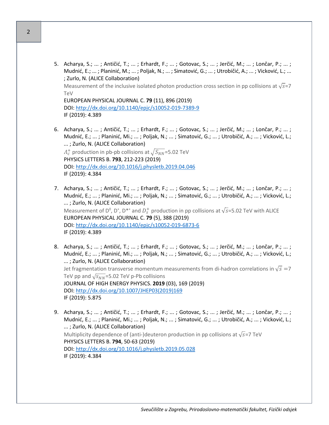5. Acharya, S.; ... ; Antičić, T.; ... ; Erhardt, F.; ... ; Gotovac, S.; ... ; Jerčić, M.; ... ; Lončar, P.; ... ; Mudnić, E.; ... ; Planinić, M.; ... ; Poljak, N.; ... ; Simatović, G.; ... ; Utrobičić, A.; ... ; Vicković, L.; ... ; Zurlo, N. (ALICE Collaboration)

Measurement of the inclusive isolated photon production cross section in pp collisions at  $\sqrt{s}$ =7 TeV

EUROPEAN PHYSICAL JOURNAL C. **79** (11), 896 (2019) DOI: [http://dx.doi.org/10.1140/epjc/s10052](http://dx.doi.org/10.1140/epjc/s10052-019-7389-9)-019-7389-9 IF (2019): 4.389

- 6. Acharya, S.; ... ; Antičić, T.; ... ; Erhardt, F.; ... ; Gotovac, S.; ... ; Jerčić, M.; ... ; Lončar, P.; ... ; Mudnić, E.; ... ; Planinić, Mi.; ... ; Poljak, N.; ... ; Simatović, G.; ... ; Utrobičić, A.; ... ; Vicković, L.; ... ; Zurlo, N. (ALICE Collaboration)  $\Lambda_c^+$  production in pb-pb collisions at  $\sqrt{S_{NN}}$ =5.02 TeV PHYSICS LETTERS B. **793**, 212-223 (2019) DOI:<http://dx.doi.org/10.1016/j.physletb.2019.04.046> IF (2019): 4.384
- 7. Acharya, S.; ... ; Antičić, T.; ... ; Erhardt, F.; ... ; Gotovac, S.; ... ; Jerčić, M.; ... ; Lončar, P.; ... ; Mudnić, E.; ... ; Planinić, Mi.; ... ; Poljak, N.; ... ; Simatović, G.; ... ; Utrobičić, A.; ... ; Vicković, L.; ... ; Zurlo, N. (ALICE Collaboration) Measurement of  $D^0$ ,  $D^+$ ,  $D^{*+}$  and  $D_s^+$  production in pp collisions at  $\sqrt{s}$ =5.02 TeV with ALICE EUROPEAN PHYSICAL JOURNAL C. **79** (5), 388 (2019) DOI: [http://dx.doi.org/10.1140/epjc/s10052](http://dx.doi.org/10.1140/epjc/s10052-019-6873-6)-019-6873-6 IF (2019): 4.389
- 8. Acharya, S.; ... ; Antičić, T.; ... ; Erhardt, F.; ... ; Gotovac, S.; ... ; Jerčić, M.; ... ; Lončar, P.; ... ; Mudnić, E.; ... ; Planinić, Mi.; ... ; Poljak, N.; ... ; Simatović, G.; ... ; Utrobičić, A.; ... ; Vicković, L.; ... ; Zurlo, N. (ALICE Collaboration) Jet fragmentation transverse momentum measurements from di-hadron correlations in  $\sqrt{s}$  =7 TeV pp and  $\sqrt{s_{NN}}$ =5.02 TeV p-Pb collisions JOURNAL OF HIGH ENERGY PHYSICS. **2019** (03), 169 (2019) DOI: [http://dx.doi.org/10.1007/JHEP03\(2019\)169](http://dx.doi.org/10.1007/JHEP03(2019)169) IF (2019): 5.875
- 9. Acharya, S.; ... ; Antičić, T.; ... ; Erhardt, F.; ... ; Gotovac, S.; ... ; Jerčić, M.; ... ; Lončar, P.; ... ; Mudnić, E.; ... ; Planinić, Mi.; ... ; Poljak, N.; ... ; Simatović, G.; ... ; Utrobičić, A.; ... ; Vicković, L.; ... ; Zurlo, N. (ALICE Collaboration) Multiplicity dependence of (anti-)deuteron production in pp collisions at  $\sqrt{s}$ =7 TeV PHYSICS LETTERS B. **794**, 50-63 (2019) DOI:<http://dx.doi.org/10.1016/j.physletb.2019.05.028> IF (2019): 4.384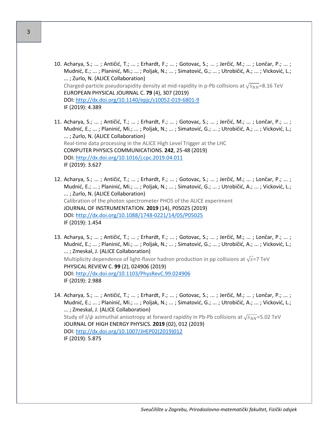- 10. Acharya, S.; ... ; Antičić, T.; ... ; Erhardt, F.; ... ; Gotovac, S.; ... ; Jerčić, M.; ... ; Lončar, P.; ... ; Mudnić, E.; ... ; Planinić, Mi.; ... ; Poljak, N.; ... ; Simatović, G.; ... ; Utrobičić, A.; ... ; Vicković, L.; ... ; Zurlo, N. (ALICE Collaboration) Charged-particle pseudorapidity density at mid-rapidity in p-Pb collisions at  $\sqrt{s_{NN}}$ =8.16 TeV EUROPEAN PHYSICAL JOURNAL C. **79** (4), 307 (2019) DOI: [http://dx.doi.org/10.1140/epjc/s10052](http://dx.doi.org/10.1140/epjc/s10052-019-6801-9)-019-6801-9 IF (2019): 4.389
- 11. Acharya, S.; ... ; Antičić, T.; ... ; Erhardt, F.; ... ; Gotovac, S.; ... ; Jerčić, M.; ... ; Lončar, P.; ... ; Mudnić, E.; ... ; Planinić, Mi.; ... ; Poljak, N.; ... ; Simatović, G.; ... ; Utrobičić, A.; ... ; Vicković, L.; ... ; Zurlo, N. (ALICE Collaboration) Real-time data processing in the ALICE High Level Trigger at the LHC COMPUTER PHYSICS COMMUNICATIONS. **242**, 25-48 (2019) DOI:<http://dx.doi.org/10.1016/j.cpc.2019.04.011> IF (2019): 3.627
- 12. Acharya, S.; ... ; Antičić, T.; ... ; Erhardt, F.; ... ; Gotovac, S.; ... ; Jerčić, M.; ... ; Lončar, P.; ... ; Mudnić, E.; ... ; Planinić, Mi.; ... ; Poljak, N.; ... ; Simatović, G.; ... ; Utrobičić, A.; ... ; Vicković, L.; ... ; Zurlo, N. (ALICE Collaboration) Calibration of the photon spectrometer PHOS of the ALICE experiment JOURNAL OF INSTRUMENTATION. **2019** (14), P05025 (2019) DOI: [http://dx.doi.org/10.1088/1748](http://dx.doi.org/10.1088/1748-0221/14/05/P05025)-0221/14/05/P05025 IF (2019): 1.454
- 13. Acharya, S.; ... ; Antičić, T.; ... ; Erhardt, F.; ... ; Gotovac, S.; ... ; Jerčić, M.; ... ; Lončar, P.; ... ; Mudnić, E.; ... ; Planinić, Mi.; ... ; Poljak, N.; ... ; Simatović, G.; ... ; Utrobičić, A.; ... ; Vicković, L.; ... ; Zmeskal, J. (ALICE Collaboration) Multiplicity dependence of light-flavor hadron production in pp collisions at  $\sqrt{s}$ =7 TeV PHYSICAL REVIEW C. **99** (2), 024906 (2019) DOI:<http://dx.doi.org/10.1103/PhysRevC.99.024906> IF (2019): 2.988
- 14. Acharya, S.; ... ; Antičić, T.; ... ; Erhardt, F.; ... ; Gotovac, S.; ... ; Jerčić, M.; ... ; Lončar, P.; ... ; Mudnić, E.; ... ; Planinić, Mi.; ... ; Poljak, N.; ... ; Simatović, G.; ... ; Utrobičić, A.; ... ; Vicković, L.; ... ; Zmeskal, J. (ALICE Collaboration) Study of J/ $\psi$  azimuthal anisotropy at forward rapidity in Pb-Pb collisions at  $\sqrt{s_{NN}}$ =5.02 TeV JOURNAL OF HIGH ENERGY PHYSICS. **2019** (02), 012 (2019) DOI: [http://dx.doi.org/10.1007/JHEP02\(2019\)012](http://dx.doi.org/10.1007/JHEP02(2019)012) IF (2019): 5.875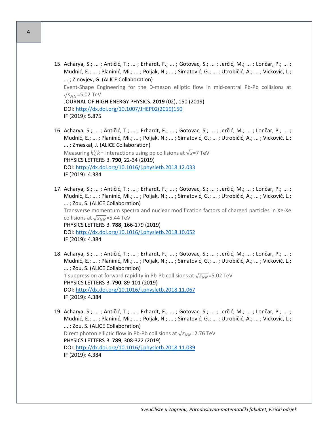- 15. Acharya, S.; ... ; Antičić, T.; ... ; Erhardt, F.; ... ; Gotovac, S.; ... ; Jerčić, M.; ... ; Lončar, P.; ... ; Mudnić, E.; ... ; Planinić, Mi.; ... ; Poljak, N.; ... ; Simatović, G.; ... ; Utrobičić, A.; ... ; Vicković, L.; ... ; Zinovjev, G. (ALICE Collaboration) Event-Shape Engineering for the D-meson elliptic flow in mid-central Pb-Pb collisions at  $\sqrt{s_{NN}}$ =5.02 TeV JOURNAL OF HIGH ENERGY PHYSICS. **2019** (02), 150 (2019) DOI: [http://dx.doi.org/10.1007/JHEP02\(2019\)150](http://dx.doi.org/10.1007/JHEP02(2019)150) IF (2019): 5.875
- 16. Acharya, S.; ... ; Antičić, T.; ... ; Erhardt, F.; ... ; Gotovac, S.; ... ; Jerčić, M.; ... ; Lončar, P.; ... ; Mudnić, E.; ... ; Planinić, Mi.; ... ; Poljak, N.; ... ; Simatović, G.; ... ; Utrobičić, A.; ... ; Vicković, L.; ... ; Zmeskal, J. (ALICE Collaboration) Measuring  $k_s^0 k^{\pm}$  interactions using pp collisions at  $\sqrt{s}$ =7 TeV PHYSICS LETTERS B. **790**, 22-34 (2019) DOI:<http://dx.doi.org/10.1016/j.physletb.2018.12.033> IF (2019): 4.384
- 17. Acharya, S.; ... ; Antičić, T.; ... ; Erhardt, F.; ... ; Gotovac, S.; ... ; Jerčić, M.; ... ; Lončar, P.; ... ; Mudnić, E.; ... ; Planinić, Mi.; ... ; Poljak, N.; ... ; Simatović, G.; ... ; Utrobičić, A.; ... ; Vicković, L.; ... ; Zou, S. (ALICE Collaboration) Transverse momentum spectra and nuclear modification factors of charged particles in Xe-Xe collisions at  $\sqrt{s_{NN}}$ =5.44 TeV PHYSICS LETTERS B. **788**, 166-179 (2019) DOI:<http://dx.doi.org/10.1016/j.physletb.2018.10.052> IF (2019): 4.384
- 18. Acharya, S.; ... ; Antičić, T.; ... ; Erhardt, F.; ... ; Gotovac, S.; ... ; Jerčić, M.; ... ; Lončar, P.; ... ; Mudnić, E.; ... ; Planinić, Mi.; ... ; Poljak, N.; ... ; Simatović, G.; ... ; Utrobičić, A.; ... ; Vicković, L.; ... ; Zou, S. (ALICE Collaboration) Y suppression at forward rapidity in Pb-Pb collisions at  $\sqrt{s_{NN}}$ =5.02 TeV PHYSICS LETTERS B. **790**, 89-101 (2019) DOI:<http://dx.doi.org/10.1016/j.physletb.2018.11.067> IF (2019): 4.384
- 19. Acharya, S.; ... ; Antičić, T.; ... ; Erhardt, F.; ... ; Gotovac, S.; ... ; Jerčić, M.; ... ; Lončar, P.; ... ; Mudnić, E.; ... ; Planinić, Mi.; ... ; Poljak, N.; ... ; Simatović, G.; ... ; Utrobičić, A.; ... ; Vicković, L.; ... ; Zou, S. (ALICE Collaboration) Direct photon elliptic flow in Pb-Pb collisions at  $\sqrt{s_{NN}}$ =2.76 TeV PHYSICS LETTERS B. **789**, 308-322 (2019) DOI:<http://dx.doi.org/10.1016/j.physletb.2018.11.039> IF (2019): 4.384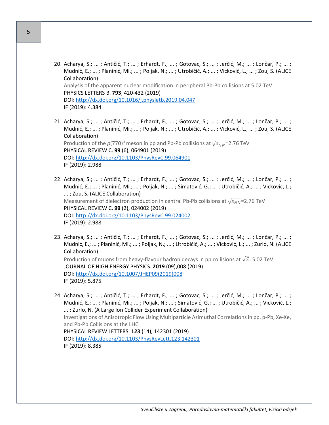- 20. Acharya, S.; ... ; Antičić, T.; ... ; Erhardt, F.; ... ; Gotovac, S.; ... ; Jerčić, M.; ... ; Lončar, P.; ... ; Mudnić, E.; ... ; Planinić, Mi.; ... ; Poljak, N.; ... ; Utrobičić, A.; ... ; Vicković, L.; ... ; Zou, S. (ALICE Collaboration) Analysis of the apparent nuclear modification in peripheral Pb-Pb collisions at 5.02 TeV PHYSICS LETTERS B. **793**, 420-432 (2019) DOI:<http://dx.doi.org/10.1016/j.physletb.2019.04.047> IF (2019): 4.384
- 21. Acharya, S.; ... ; Antičić, T.; ... ; Erhardt, F.; ... ; Gotovac, S.; ... ; Jerčić, M.; ... ; Lončar, P.; ... ; Mudnić, E.; ... ; Planinić, Mi.; ... ; Poljak, N.; ... ; Utrobičić, A.; ... ; Vicković, L.; ... ; Zou, S. (ALICE Collaboration) Production of the  $\rho$ (770)<sup>0</sup> meson in pp and Pb-Pb collisions at  $\sqrt{s_{NN}}$ =2.76 TeV PHYSICAL REVIEW C. **99** (6), 064901 (2019) DOI:<http://dx.doi.org/10.1103/PhysRevC.99.064901> IF (2019): 2.988
- 22. Acharya, S.; ... ; Antičić, T.; ... ; Erhardt, F.; ... ; Gotovac, S.; ... ; Jerčić, M.; ... ; Lončar, P.; ... ; Mudnić, E.; ... ; Planinić, Mi.; ... ; Poljak, N.; ... ; Simatović, G.; ... ; Utrobičić, A.; ... ; Vicković, L.; ... ; Zou, S. (ALICE Collaboration) Measurement of dielectron production in central Pb-Pb collisions at  $\sqrt{s_{NN}}$ =2.76 TeV PHYSICAL REVIEW C. **99** (2), 024002 (2019) DOI:<http://dx.doi.org/10.1103/PhysRevC.99.024002> IF (2019): 2.988
- 23. Acharya, S.; ... ; Antičić, T.; ... ; Erhardt, F.; ... ; Gotovac, S.; ... ; Jerčić, M.; ... ; Lončar, P.; ... ; Mudnić, E.; ... ; Planinić, Mi.; ... ; Poljak, N.; ... ; Utrobičić, A.; ... ; Vicković, L.; ... ; Zurlo, N. (ALICE Collaboration) Production of muons from heavy-flavour hadron decays in pp collisions at  $\sqrt{S}$ =5.02 TeV JOURNAL OF HIGH ENERGY PHYSICS. **2019** (09),008 (2019) DOI: [http://dx.doi.org/10.1007/JHEP09\(2019\)008](http://dx.doi.org/10.1007/JHEP09(2019)008) IF (2019): 5.875
- 24. Acharya, S.; ... ; Antičić, T.; ... ; Erhardt, F.; ... ; Gotovac, S.; ... ; Jerčić, M.; ... ; Lončar, P.; ... ; Mudnić, E.; ... ; Planinić, Mi.; ... ; Poljak, N.; ... ; Simatović, G.; ... ; Utrobičić, A.; ... ; Vicković, L.; ... ; Zurlo, N. (A Large Ion Collider Experiment Collaboration) Investigations of Anisotropic Flow Using Multiparticle Azimuthal Correlations in pp, p-Pb, Xe-Xe, and Pb-Pb Collisions at the LHC PHYSICAL REVIEW LETTERS. **123** (14), 142301 (2019) DOI:<http://dx.doi.org/10.1103/PhysRevLett.123.142301> IF (2019): 8.385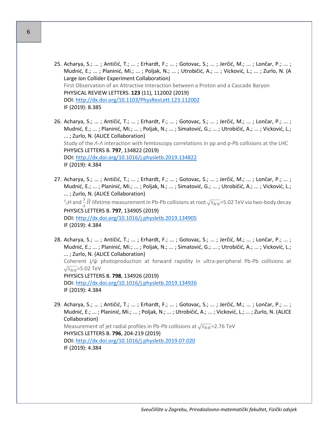- 25. Acharya, S.; ... ; Antičić, T.; ... ; Erhardt, F.; ... ; Gotovac, S.; ... ; Jerčić, M.; ... ; Lončar, P.; ... ; Mudnić, E.; ... ; Planinić, Mi.; ... ; Poljak, N.; ... ; Utrobičić, A.; ... ; Vicković, L.; ... ; Zurlo, N. (A Large Ion Collider Experiment Collaboration) First Observation of an Attractive Interaction between a Proton and a Cascade Baryon PHYSICAL REVIEW LETTERS. **123** (11), 112002 (2019) DOI:<http://dx.doi.org/10.1103/PhysRevLett.123.112002> IF (2019): 8.385
- 26. Acharya, S.; ... ; Antičić, T.; ... ; Erhardt, F.; ... ; Gotovac, S.; ... ; Jerčić, M.; ... ; Lončar, P.; ... ; Mudnić, E.; ... ; Planinić, Mi.; ... ; Poljak, N.; ... ; Simatović, G.; ... ; Utrobičić, A.; ... ; Vicković, L.; ... ; Zurlo, N. (ALICE Collaboration) Study of the *Λ*-*Λ* interaction with femtoscopy correlations in pp and p-Pb collisions at the LHC PHYSICS LETTERS B. **797**, 134822 (2019) DOI:<http://dx.doi.org/10.1016/j.physletb.2019.134822> IF (2019): 4.384
- 27. Acharya, S.; ... ; Antičić, T.; ... ; Erhardt, F.; ... ; Gotovac, S.; ... ; Jerčić, M.; ... ; Lončar, P.; ... ; Mudnić, E.; ... ; Planinić, Mi.; ... ; Poljak, N.; ... ; Simatović, G.; ... ; Utrobičić, A.; ... ; Vicković, L.; ... ; Zurlo, N. (ALICE Collaboration)  $^3$ <sub>^</sub>H and  $\frac{3}{A}\bar{H}$  lifetime measurement in Pb-Pb collisions at root  $\sqrt{s_{NN}}$ =5.02 TeV via two-body decay PHYSICS LETTERS B. **797**, 134905 (2019) DOI:<http://dx.doi.org/10.1016/j.physletb.2019.134905> IF (2019): 4.384
- 28. Acharya, S.; ... ; Antičić, T.; ... ; Erhardt, F.; ... ; Gotovac, S.; ... ; Jerčić, M.; ... ; Lončar, P.; ... ; Mudnić, E.; ... ; Planinić, Mi.; ... ; Poljak, N.; ... ; Simatović, G.; ... ; Utrobičić, A.; ... ; Vicković, L.; ... ; Zurlo, N. (ALICE Collaboration) Coherent J*/ψ* photoproduction at forward rapidity in ultra-peripheral Pb-Pb collisions at  $\sqrt{s_{NN}}$ =5.02 TeV PHYSICS LETTERS B. **798**, 134926 (2019) DOI:<http://dx.doi.org/10.1016/j.physletb.2019.134926> IF (2019): 4.384
- 29. Acharya, S.; ... ; Antičić, T.; ... ; Erhardt, F.; ... ; Gotovac, S.; ... ; Jerčić, M.; ... ; Lončar, P.; ... ; Mudnić, E.; ... ; Planinić, Mi.; ... ; Poljak, N.; ... ; Utrobičić, A.; ... ; Vicković, L.; ... ; Zurlo, N. (ALICE Collaboration) Measurement of jet radial profiles in Pb-Pb collisions at  $\sqrt{s_{NN}}$ =2.76 TeV PHYSICS LETTERS B. **796**, 204-219 (2019) DOI:<http://dx.doi.org/10.1016/j.physletb.2019.07.020> IF (2019): 4.384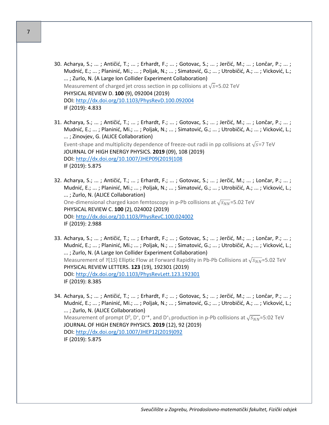- 30. Acharya, S.; ... ; Antičić, T.; ... ; Erhardt, F.; ... ; Gotovac, S.; ... ; Jerčić, M.; ... ; Lončar, P.; ... ; Mudnić, E.; ... ; Planinić, Mi.; ... ; Poljak, N.; ... ; Simatović, G.; ... ; Utrobičić, A.; ... ; Vicković, L.; ... ; Zurlo, N. (A Large Ion Collider Experiment Collaboration) Measurement of charged jet cross section in pp collisions at  $\sqrt{s}$ =5.02 TeV PHYSICAL REVIEW D. **100** (9), 092004 (2019) DOI:<http://dx.doi.org/10.1103/PhysRevD.100.092004> IF (2019): 4.833
- 31. Acharya, S.; ... ; Antičić, T.; ... ; Erhardt, F.; ... ; Gotovac, S.; ... ; Jerčić, M.; ... ; Lončar, P.; ... ; Mudnić, E.; ... ; Planinić, Mi.; ... ; Poljak, N.; ... ; Simatović, G.; ... ; Utrobičić, A.; ... ; Vicković, L.; ... ; Zinovjev, G. (ALICE Collaboration) Event-shape and multiplicity dependence of freeze-out radii in pp collisions at  $\sqrt{s}$ =7 TeV JOURNAL OF HIGH ENERGY PHYSICS. **2019** (09), 108 (2019) DOI: [http://dx.doi.org/10.1007/JHEP09\(2019\)108](http://dx.doi.org/10.1007/JHEP09(2019)108) IF (2019): 5.875
- 32. Acharya, S.; ... ; Antičić, T.; ... ; Erhardt, F.; ... ; Gotovac, S.; ... ; Jerčić, M.; ... ; Lončar, P.; ... ; Mudnić, E.; ... ; Planinić, Mi.; ... ; Poljak, N.; ... ; Simatović, G.; ... ; Utrobičić, A.; ... ; Vicković, L.; ... ; Zurlo, N. (ALICE Collaboration) One-dimensional charged kaon femtoscopy in p-Pb collisions at  $\sqrt{s_{NN}}$ =5.02 TeV PHYSICAL REVIEW C. **100** (2), 024002 (2019) DOI:<http://dx.doi.org/10.1103/PhysRevC.100.024002> IF (2019): 2.988
- 33. Acharya, S.; ... ; Antičić, T.; ... ; Erhardt, F.; ... ; Gotovac, S.; ... ; Jerčić, M.; ... ; Lončar, P.; ... ; Mudnić, E.; ... ; Planinić, Mi.; ... ; Poljak, N.; ... ; Simatović, G.; ... ; Utrobičić, A.; ... ; Vicković, L.; ... ; Zurlo, N. (A Large Ion Collider Experiment Collaboration) Measurement of *Y*(1*S*) Elliptic Flow at Forward Rapidity in Pb-Pb Collisions at √*S*<sub>NN</sub>=5.02 TeV PHYSICAL REVIEW LETTERS. **123** (19), 192301 (2019) DOI:<http://dx.doi.org/10.1103/PhysRevLett.123.192301> IF (2019): 8.385
- 34. Acharya, S.; ... ; Antičić, T.; ... ; Erhardt, F.; ... ; Gotovac, S.; ... ; Jerčić, M.; ... ; Lončar, P.; ... ; Mudnić, E.; ... ; Planinić, Mi.; ... ; Poljak, N.; ... ; Simatović, G.; ... ; Utrobičić, A.; ... ; Vicković, L.; ... ; Zurlo, N. (ALICE Collaboration) Measurement of prompt  $D^0$ ,  $D^+$ ,  $D^{+*}$ , and  $D^+$ <sub>s</sub> production in p-Pb collisions at  $\sqrt{s_{NN}}$ =5:02 TeV JOURNAL OF HIGH ENERGY PHYSICS. **2019** (12), 92 (2019) DOI: [http://dx.doi.org/10.1007/JHEP12\(2019\)092](http://dx.doi.org/10.1007/JHEP12(2019)092) IF (2019): 5.875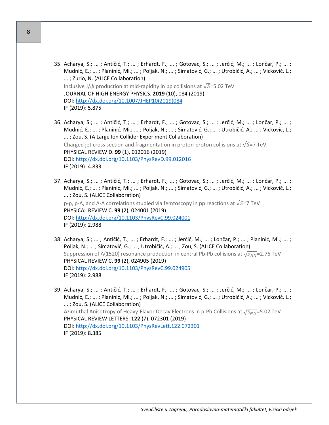- 35. Acharya, S.; ... ; Antičić, T.; ... ; Erhardt, F.; ... ; Gotovac, S.; ... ; Jerčić, M.; ... ; Lončar, P.; ... ; Mudnić, E.; ... ; Planinić, Mi.; ... ; Poljak, N.; ... ; Simatović, G.; ... ; Utrobičić, A.; ... ; Vicković, L.; ... ; Zurlo, N. (ALICE Collaboration) Inclusive J/ $\psi$  production at mid-rapidity in pp collisions at  $\sqrt{S}$ =5.02 TeV JOURNAL OF HIGH ENERGY PHYSICS. **2019** (10), 084 (2019) DOI: [http://dx.doi.org/10.1007/JHEP10\(2019\)084](http://dx.doi.org/10.1007/JHEP10(2019)084) IF (2019): 5.875
- 36. Acharya, S.; ... ; Antičić, T.; ... ; Erhardt, F.; ... ; Gotovac, S.; ... ; Jerčić, M.; ... ; Lončar, P.; ... ; Mudnić, E.; ... ; Planinić, Mi.; ... ; Poljak, N.; ... ; Simatović, G.; ... ; Utrobičić, A.; ... ; Vicković, L.; ... ; Zou, S. (A Large Ion Collider Experiment Collaboration) Charged jet cross section and fragmentation in proton-proton collisions at  $\sqrt{S}$ =7 TeV PHYSICAL REVIEW D. **99** (1), 012016 (2019) DOI:<http://dx.doi.org/10.1103/PhysRevD.99.012016> IF (2019): 4.833
- 37. Acharya, S.; ... ; Antičić, T.; ... ; Erhardt, F.; ... ; Gotovac, S.; ... ; Jerčić, M.; ... ; Lončar, P.; ... ; Mudnić, E.; ... ; Planinić, Mi.; ... ; Poljak, N.; ... ; Simatović, G.; ... ; Utrobičić, A.; ... ; Vicković, L.; ... ; Zou, S. (ALICE Collaboration) p-p, p-Λ, and Λ-Λ correlations studied via femtoscopy in pp reactions at  $\sqrt{S}$ =7 TeV PHYSICAL REVIEW C. **99** (2), 024001 (2019) DOI:<http://dx.doi.org/10.1103/PhysRevC.99.024001> IF (2019): 2.988
- 38. Acharya, S.; ... ; Antičić, T.; ... ; Erhardt, F.; ... ; Jerčić, M.; ... ; Lončar, P.; ... ; Planinić, Mi.; ... ; Poljak, N.; ... ; Simatović, G.; ... ; Utrobičić, A.; ... ; Zou, S. (ALICE Collaboration) Suppression of Λ(1520) resonance production in central Pb-Pb collisions at  $\sqrt{s_{NN}}$ =2.76 TeV PHYSICAL REVIEW C. **99** (2), 024905 (2019) DOI:<http://dx.doi.org/10.1103/PhysRevC.99.024905> IF (2019): 2.988
- 39. Acharya, S.; ... ; Antičić, T.; ... ; Erhardt, F.; ... ; Gotovac, S.; ... ; Jerčić, M.; ... ; Lončar, P.; ... ; Mudnić, E.; ... ; Planinić, Mi.; ... ; Poljak, N.; ... ; Simatović, G.; ... ; Utrobičić, A.; ... ; Vicković, L.; ... ; Zou, S. (ALICE Collaboration) Azimuthal Anisotropy of Heavy-Flavor Decay Electrons in p-Pb Collisions at  $\sqrt{s_{NN}}$ =5.02 TeV PHYSICAL REVIEW LETTERS. **122** (7), 072301 (2019) DOI:<http://dx.doi.org/10.1103/PhysRevLett.122.072301> IF (2019): 8.385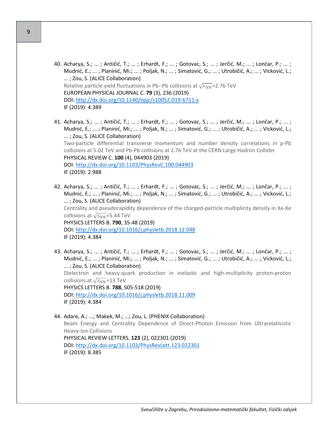- 40. Acharya, S.; ... ; Antičić, T.; ... ; Erhardt, F.; ... ; Gotovac, S.; ... ; Jerčić, M.; ... ; Lončar, P.; ... ; Mudnić, E.; ... ; Planinić, Mi.; ... ; Poljak, N.; ... ; Simatović, G.; ... ; Utrobičić, A.; ... ; Vicković, L.; ... ; Zou, S. (ALICE Collaboration) Relative particle yield fluctuations in Pb--Pb collisions at  $\sqrt{s_{NN}}$ =2.76 TeV EUROPEAN PHYSICAL JOURNAL C. **79** (3), 236 (2019) DOI: [http://dx.doi.org/10.1140/epjc/s10052](http://dx.doi.org/10.1140/epjc/s10052-019-6711-x)-019-6711-x IF (2019): 4.389
- 41. Acharya, S.; ... ; Antičić, T.; ... ; Erhardt, F.; ... ; Gotovac, S.; ... ; Jerčić, M.; ... ; Lončar, P.; ... ; Mudnić, E.; ... ; Planinić, Mi.; ... ; Poljak, N.; ... ; Simatović, G.; ... ; Utrobičić, A.; ... ; Vicković, L.; ... ; Zou, S. (ALICE Collaboration) Two-particle differential transverse momentum and number density correlations in p-Pb collisions at 5.02 TeV and Pb-Pb collisions at 2.76 TeV at the CERN Large Hadron Collider PHYSICAL REVIEW C. **100** (4), 044903 (2019) DOI:<http://dx.doi.org/10.1103/PhysRevC.100.044903> IF (2019): 2.988
- 42. Acharya, S.; ... ; Antičić, T.; ... ; Erhardt, F.; ... ; Gotovac, S.; ... ; Jerčić, M.; ... ; Lončar, P.; ... ; Mudnić, E.; ... ; Planinić, Mi.; ... ; Poljak, N.; ... ; Simatović, G.; ... ; Utrobičić, A.; ... ; Vicković, L.; ... ; Zou, S. (ALICE Collaboration) Centrality and pseudorapidity dependence of the charged-particle multiplicity density in Xe-Xe collisions at  $\sqrt{s_{NN}}$ =5.44 TeV PHYSICS LETTERS B. **790**, 35-48 (2019) DOI:<http://dx.doi.org/10.1016/j.physletb.2018.12.048> IF (2019): 4.384
- 43. Acharya, S.; ... ; Antičić, T.; ... ; Erhardt, F.; ... ; Gotovac, S.; ... ; Jerčić, M.; ... ; Lončar, P.; ... ; Mudnić, E.; ... ; Planinić, Mi.; ... ; Poljak, N.; ... ; Simatović, G.; ... ; Utrobičić, A.; ... ; Vicković, L.; ... ; Zou, S. (ALICE Collaboration) Dielectron and heavy-quark production in inelastic and high-multiplicity proton-proton collisions at  $\sqrt{s_{NN}}$ =13 TeV PHYSICS LETTERS B. **788**, 505-518 (2019) DOI:<http://dx.doi.org/10.1016/j.physletb.2018.11.009> IF (2019): 4.384

44. Adare, A.; ...; Makek, M.; ...; Zou, L. (PHENIX Collaboration) Beam Energy and Centrality Dependence of Direct-Photon Emission from Ultrarelativistic Heavy-Ion Collisions PHYSICAL REVIEW LETTERS. **123** (2), 022301 (2019) DOI:<http://dx.doi.org/10.1103/PhysRevLett.123.022301> IF (2019): 8.385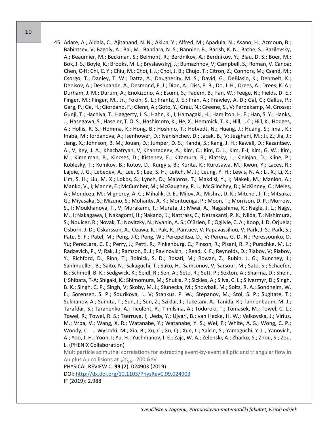45. Adare, A.; Aidala, C.; Ajitanand, N. N.; Akiba, Y.; Alfred, M.; Apadula, N.; Asano, H.; Azmoun, B.; Babintsev, V; Bagoly, A.; Bai, M.; Bandara, N. S.; Bannier, B.; Barish, K. N.; Bathe, S.; Bazilevsky, A.; Beaumier, M.; Beckman, S.; Belmont, R.; Berdnikov, A.; Berdnikov, Y.; Blau, D. S.; Boer, M.; Bok, J. S.; Boyle, K.; Brooks, M. L.; Bryslawskyj, J.; Bumazhnov, V; Campbell, S.; Roman, V. Canoa; Chen, C-H; Chi, C. Y.; Chiu, M.; Choi, I. J.; Choi, J. B.; Chujo, T.; Citron, Z.; Connors, M.; Csand, M.; Csorgo, T.; Danley, T. W.; Datta, A.; Daugherity, M. S.; David, G.; DeBlasio, K.; Dehmelt, K.; Denisov, A.; Deshpande, A.; Desmond, E. J.; Dion, A.; Diss, P. B.; Do, J. H.; Drees, A.; Drees, K. A.; Durham, J. M.; Durum, A.; Enokizono, A.; Esumi, S.; Fadem, B.; Fan, W.; Feege, N.; Fields, D. E.; Finger, M.; Finger, M., Jr.; Fokin, S. L.; Frantz, J. E.; Fran, A.; Frawley, A. D.; Gal, C.; Gallus, P.; Garg, P.; Ge, H.; Giordano, F.; Glenn, A.; Goto, Y.; Grau, N.; Greene, S., V; Perdekamp, M. Grosse; Gunji, T.; Hachiya, T.; Haggerty, J. S.; Hahn, K., I; Hamagaki, H.; Hamilton, H. F.; Han, S. Y.; Hanks, J.; Hasegawa, S.; Haseler, T. O. S.; Hashimoto, K.; He, X.; Hemmick, T. K.; Hill, J. C.; Hill, K.; Hodges, A.; Hollis, R. S.; Homma, K.; Hong, B.; Hoshino, T.; Hotvedt, N.; Huang, J.; Huang, S.; Imai, K.; Inaba, M.; Iordanova, A.; Isenhower, D.; Ivanishchev, D.; Jacak, B., V; Jezghani, M.; Ji, Z.; Jia, J.; Jiang, X.; Johnson, B. M.; Jouan, D.; Jumper, D. S.; Kanda, S.; Kang, J. H.; Kawall, D.; Kazantsev, A., V; Key, J. A.; Khachatryan, V; Khanzadeev, A.; Kim, C.; Kim, D. J.; Kim, E-J; Kim, G. W.; Kim, M.; Kimelman, B.; Kincses, D.; Kistenev, E.; Kitamura, R.; Klatsky, J.; Kleinjan, D.; Kline, P.; Koblesky, T.; Komkov, B.; Kotov, D.; Kurgyis, B.; Kurita, K.; Kurosawa, M.; Kwon, Y.; Lacey, R.; Lajoie, J. G.; Lebedev, A.; Lee, S.; Lee, S. H.; Leitch, M. J.; Leung, Y. H.; Lewis, N. A.; Li, X.; Li, X.; Lim, S. H.; Liu, M. X.; Lokos, S.; Lynch, D.; Majoros, T.; Makdisi, Y., I; Makek, M.; Manion, A.; Manko, V., I; Manne, E.; McCumber, M.; McGaughey, P. L.; McGlinchey, D.; McKinney, C.; Meles, A.; Mendoza, M.; Mignerey, A. C.; Mihalik, D. E.; Milov, A.; Mishra, D. K.; Mitchel, J. T.; Mitsuka, G.; Miyasaka, S.; Mizuno, S.; Mohanty, A. K.; Montuenga, P.; Moon, T.; Morrison, D. P.; Morrow, S., I; Moukhanova, T., V; Murakami, T.; Murata, J.; Mwai, A.; Nagashima, K.; Nagle, J. L.; Nagy, M., I; Nakagawa, I; Nakagomi, H.; Nakano, K.; Nattrass, C.; Netrakanti, P. K.; Niida, T.; Nishimura, S.; Nouicer, R.; Novak, T.; Novitzky, N.; Nyanin, A. S.; O'Brien, E.; Ogilvie, C. A.; Koop, J. D. Orjuela; Osborn, J. D.; Oskarsson, A.; Ozawa, K.; Pak, R.; Pantuev, V; Papavassiliou, V; Park, J. S.; Park, S.; Pate, S. F.; Patel, M.; Peng, J-C; Peng, W.; Perepelitsa, D., V; Perera, G. D. N.; Peressounko, D. Yu; PerezLara, C. E.; Perry, J.; Petti, R.; Pinkenburg, C.; Pinson, R.; Pisani, R. P.; Purschke, M. L.; Radzevich, P., V; Rak, J.; Ramson, B. J.; Ravinovich, I; Read, K. F.; Reynolds, D.; Riabov, V; Riabov, Y.; Richford, D.; Rinn, T.; Rolnick, S. D.; Rosati, M.; Rowan, Z.; Rubin, J. G.; Runchey, J.; Sahlmueller, B.; Saito, N.; Sakaguchi, T.; Sako, H.; Samsonov, V; Sarsour, M.; Sato, S.; Schaefer, B.; Schmoll, B. K.; Sedgwick, K.; Seidl, R.; Sen, A.; Seto, R.; Sett, P.; Sexton, A.; Sharma, D.; Shein, I; Shibata, T-A; Shigaki, K.; Shimomura, M.; Shukla, P.; Sickles, A.; Silva, C. L.; Silvermyr, D.; Singh, B. K.; Singh, C. P.; Singh, V; Skoby, M. J.; Slunecka, M.; Snowball, M.; Soltz, R. A.; Sondheim, W. E.; Sorensen, S. P.; Sourikova, I., V; Stankus, P. W.; Stepanov, M.; Stol, S. P.; Sugitate, T.; Sukhanov, A.; Sumita, T.; Sun, J.; Sun, Z.; Sziklai, J.; Taketani, A.; Tanida, K.; Tannenbaum, M. J.; Tarafdar, S.; Taranenko, A.; Tieulent, R.; Timilsina, A.; Todoroki, T.; Tomasek, M.; Towel, C. L.; Towel, R.; Towel, R. S.; Tserruya, I; Ueda, Y.; Ujvari, B.; van Hecke, H. W.; Velkovska, J.; Virius, M.; Vrba, V.; Wang, X. R.; Watanabe, Y.; Watanabe, Y. S.; Wei, F.; White, A. S.; Wong, C. P.; Woody, C. L.; Wysocki, M.; Xia, B.; Xu, C.; Xu, Q.; Xue, L.; Yalcin, S.; Yamaguchi, Y. L.; Yanovich, A.; Yoo, J. H.; Yoon, I; Yu, H.; Yushmanov, I. E.; Zajc, W. A.; Zelenski, A.; Zharko, S.; Zhou, S.; Zou, L. (PHENIX Collaboration) Multiparticle azimuthal correlations for extracting event-by-event elliptic and triangular flow in

Au plus Au collisions at  $\sqrt{s_{NN}}$ =200 GeV

PHYSICAL REVIEW C. **99** (2), 024903 (2019) DOI:<http://dx.doi.org/10.1103/PhysRevC.99.024903>

IF (2019): 2.988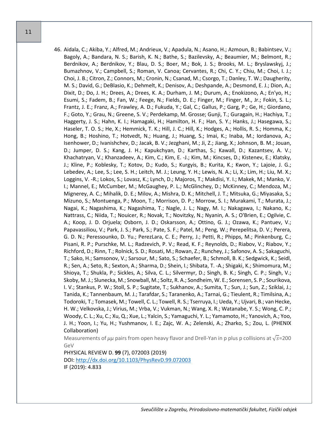46. Aidala, C.; Akiba, Y.; Alfred, M.; Andrieux, V.; Apadula, N.; Asano, H.; Azmoun, B.; Babintsev, V.; Bagoly, A.; Bandara, N. S.; Barish, K. N.; Bathe, S.; Bazilevsky, A.; Beaumier, M.; Belmont, R.; Berdnikov, A.; Berdnikov, Y.; Blau, D. S.; Boer, M.; Bok, J. S.; Brooks, M. L.; Bryslawskyj, J.; Bumazhnov, V.; Campbell, S.; Roman, V. Canoa; Cervantes, R.; Chi, C. Y.; Chiu, M.; Choi, I. J.; Choi, J. B.; Citron, Z.; Connors, M.; Cronin, N.; Csanad, M.; Csorgo, T.; Danley, T. W.; Daugherity, M. S.; David, G.; DeBlasio, K.; Dehmelt, K.; Denisov, A.; Deshpande, A.; Desmond, E. J.; Dion, A.; Dixit, D.; Do, J. H.; Drees, A.; Drees, K. A.; Durham, J. M.; Durum, A.; Enokizono, A.; En'yo, H.; Esumi, S.; Fadem, B.; Fan, W.; Feege, N.; Fields, D. E.; Finger, M.; Finger, M., Jr.; Fokin, S. L.; Frantz, J. E.; Franz, A.; Frawley, A. D.; Fukuda, Y.; Gal, C.; Gallus, P.; Garg, P.; Ge, H.; Giordano, F.; Goto, Y.; Grau, N.; Greene, S. V.; Perdekamp, M. Grosse; Gunji, T.; Guragain, H.; Hachiya, T.; Haggerty, J. S.; Hahn, K. I.; Hamagaki, H.; Hamilton, H. F.; Han, S. Y.; Hanks, J.; Hasegawa, S.; Haseler, T. O. S.; He, X.; Hemmick, T. K.; Hill, J. C.; Hill, K.; Hodges, A.; Hollis, R. S.; Homma, K.; Hong, B.; Hoshino, T.; Hotvedt, N.; Huang, J.; Huang, S.; Imai, K.; Inaba, M.; Iordanova, A.; Isenhower, D.; Ivanishchev, D.; Jacak, B. V.; Jezghani, M.; Ji, Z.; Jiang, X.; Johnson, B. M.; Jouan, D.; Jumper, D. S.; Kang, J. H.; Kapukchyan, D.; Karthas, S.; Kawall, D.; Kazantsev, A. V.; Khachatryan, V.; Khanzadeev, A.; Kim, C.; Kim, E. -J.; Kim, M.; Kincses, D.; Kistenev, E.; Klatsky, J.; Kline, P.; Koblesky, T.; Kotov, D.; Kudo, S.; Kurgyis, B.; Kurita, K.; Kwon, Y.; Lajoie, J. G.; Lebedev, A.; Lee, S.; Lee, S. H.; Leitch, M. J.; Leung, Y. H.; Lewis, N. A.; Li, X.; Lim, H.; Liu, M. X.; Loggins, V. -R.; Lokos, S.; Lovasz, K.; Lynch, D.; Majoros, T.; Makdisi, Y. I.; Makek, M.; Manko, V. I.; Mannel, E.; McCumber, M.; McGaughey, P. L.; McGlinchey, D.; McKinney, C.; Mendoza, M.; Mignerey, A. C.; Mihalik, D. E.; Milov, A.; Mishra, D. K.; Mitchell, J. T.; Mitsuka, G.; Miyasaka, S.; Mizuno, S.; Montuenga, P.; Moon, T.; Morrison, D. P.; Morrow, S. I.; Murakami, T.; Murata, J.; Nagai, K.; Nagashima, K.; Nagashima, T.; Nagle, J. L.; Nagy, M. I.; Nakagawa, I.; Nakano, K.; Nattrass, C.; Niida, T.; Nouicer, R.; Novak, T.; Novitzky, N.; Nyanin, A. S.; O'Brien, E.; Ogilvie, C. A.; Koop, J. D. Orjuela; Osborn, J. D.; Oskarsson, A.; Ottino, G. J.; Ozawa, K.; Pantuev, V.; Papavassiliou, V.; Park, J. S.; Park, S.; Pate, S. F.; Patel, M.; Peng, W.; Perepelitsa, D. V.; Perera, G. D. N.; Peressounko, D. Yu.; PerezLara, C. E.; Perry, J.; Petti, R.; Phipps, M.; Pinkenburg, C.; Pisani, R. P.; Purschke, M. L.; Radzevich, P. V.; Read, K. F.; Reynolds, D.; Riabov, V.; Riabov, Y.; Richford, D.; Rinn, T.; Rolnick, S. D.; Rosati, M.; Rowan, Z.; Runchey, J.; Safonov, A. S.; Sakaguchi, T.; Sako, H.; Samsonov, V.; Sarsour, M.; Sato, S.; Schaefer, B.; Schmoll, B. K.; Sedgwick, K.; Seidl, R.; Sen, A.; Seto, R.; Sexton, A.; Sharma, D.; Shein, I.; Shibata, T. -A.; Shigaki, K.; Shimomura, M.; Shioya, T.; Shukla, P.; Sickles, A.; Silva, C. L.; Silvermyr, D.; Singh, B. K.; Singh, C. P.; Singh, V.; Skoby, M. J.; Slunecka, M.; Snowball, M.; Soltz, R. A.; Sondheim, W. E.; Sorensen, S. P.; Sourikova, I. V.; Stankus, P. W.; Stoll, S. P.; Sugitate, T.; Sukhanov, A.; Sumita, T.; Sun, J.; Sun, Z.; Sziklai, J.; Tanida, K.; Tannenbaum, M. J.; Tarafdar, S.; Taranenko, A.; Tarnai, G.; Tieulent, R.; Timilsina, A.; Todoroki, T.; Tomasek, M.; Towell, C. L.; Towell, R. S.; Tserruya, I.; Ueda, Y.; Ujvari, B.; van Hecke, H. W.; Velkovska, J.; Virius, M.; Vrba, V.; Vukman, N.; Wang, X. R.; Watanabe, Y. S.; Wong, C. P.; Woody, C. L.; Xu, C.; Xu, Q.; Xue, L.; Yalcin, S.; Yamaguchi, Y. L.; Yamamoto, H.; Yanovich, A.; Yoo, J. H.; Yoon, I.; Yu, H.; Yushmanov, I. E.; Zajc, W. A.; Zelenski, A.; Zharko, S.; Zou, L. (PHENIX Collaboration)

Measurements of  $\mu\mu$  pairs from open heavy flavor and Drell-Yan in p plus p collisions at  $\sqrt{s}$ =200 GeV

PHYSICAL REVIEW D. **99** (7), 072003 (2019) DOI:<http://dx.doi.org/10.1103/PhysRevD.99.072003> IF (2019): 4.833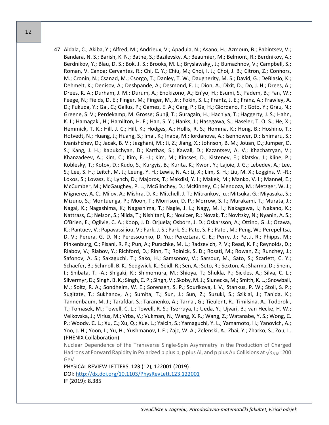47. Aidala, C.; Akiba, Y.; Alfred, M.; Andrieux, V.; Apadula, N.; Asano, H.; Azmoun, B.; Babintsev, V.; Bandara, N. S.; Barish, K. N.; Bathe, S.; Bazilevsky, A.; Beaumier, M.; Belmont, R.; Berdnikov, A.; Berdnikov, Y.; Blau, D. S.; Bok, J. S.; Brooks, M. L.; Bryslawskyj, J.; Bumazhnov, V.; Campbell, S.; Roman, V. Canoa; Cervantes, R.; Chi, C. Y.; Chiu, M.; Choi, I. J.; Choi, J. B.; Citron, Z.; Connors, M.; Cronin, N.; Csanad, M.; Csorgo, T.; Danley, T. W.; Daugherity, M. S.; David, G.; DeBlasio, K.; Dehmelt, K.; Denisov, A.; Deshpande, A.; Desmond, E. J.; Dion, A.; Dixit, D.; Do, J. H.; Drees, A.; Drees, K. A.; Durham, J. M.; Durum, A.; Enokizono, A.; En'yo, H.; Esumi, S.; Fadem, B.; Fan, W.; Feege, N.; Fields, D. E.; Finger, M.; Finger, M., Jr.; Fokin, S. L.; Frantz, J. E.; Franz, A.; Frawley, A. D.; Fukuda, Y.; Gal, C.; Gallus, P.; Gamez, E. A.; Garg, P.; Ge, H.; Giordano, F.; Goto, Y.; Grau, N.; Greene, S. V.; Perdekamp, M. Grosse; Gunji, T.; Guragain, H.; Hachiya, T.; Haggerty, J. S.; Hahn, K. I.; Hamagaki, H.; Hamilton, H. F.; Han, S. Y.; Hanks, J.; Hasegawa, S.; Haseler, T. O. S.; He, X.; Hemmick, T. K.; Hill, J. C.; Hill, K.; Hodges, A.; Hollis, R. S.; Homma, K.; Hong, B.; Hoshino, T.; Hotvedt, N.; Huang, J.; Huang, S.; Imai, K.; Inaba, M.; Iordanova, A.; Isenhower, D.; Ishimaru, S.; Ivanishchev, D.; Jacak, B. V.; Jezghani, M.; Ji, Z.; Jiang, X.; Johnson, B. M.; Jouan, D.; Jumper, D. S.; Kang, J. H.; Kapukchyan, D.; Karthas, S.; Kawall, D.; Kazantsev, A. V.; Khachatryan, V.; Khanzadeev, A.; Kim, C.; Kim, E. -J.; Kim, M.; Kincses, D.; Kistenev, E.; Klatsky, J.; Kline, P.; Koblesky, T.; Kotov, D.; Kudo, S.; Kurgyis, B.; Kurita, K.; Kwon, Y.; Lajoie, J. G.; Lebedev, A.; Lee, S.; Lee, S. H.; Leitch, M. J.; Leung, Y. H.; Lewis, N. A.; Li, X.; Lim, S. H.; Liu, M. X.; Loggins, V. -R.; Lokos, S.; Lovasz, K.; Lynch, D.; Majoros, T.; Makdisi, Y. I.; Makek, M.; Manko, V. I.; Mannel, E.; McCumber, M.; McGaughey, P. L.; McGlinchey, D.; McKinney, C.; Mendoza, M.; Metzger, W. J.; Mignerey, A. C.; Milov, A.; Mishra, D. K.; Mitchell, J. T.; Mitrankov, Iu.; Mitsuka, G.; Miyasaka, S.; Mizuno, S.; Montuenga, P.; Moon, T.; Morrison, D. P.; Morrow, S. I.; Murakami, T.; Murata, J.; Nagai, K.; Nagashima, K.; Nagashima, T.; Nagle, J. L.; Nagy, M. I.; Nakagawa, I.; Nakano, K.; Nattrass, C.; Nelson, S.; Niida, T.; Nishitani, R.; Nouicer, R.; Novak, T.; Novitzky, N.; Nyanin, A. S.; O'Brien, E.; Ogilvie, C. A.; Koop, J. D. Orjuela; Osborn, J. D.; Oskarsson, A.; Ottino, G. J.; Ozawa, K.; Pantuev, V.; Papavassiliou, V.; Park, J. S.; Park, S.; Pate, S. F.; Patel, M.; Peng, W.; Perepelitsa, D. V.; Perera, G. D. N.; Peressounko, D. Yu.; PerezLara, C. E.; Perry, J.; Petti, R.; Phipps, M.; Pinkenburg, C.; Pisani, R. P.; Pun, A.; Purschke, M. L.; Radzevich, P. V.; Read, K. F.; Reynolds, D.; Riabov, V.; Riabov, Y.; Richford, D.; Rinn, T.; Rolnick, S. D.; Rosati, M.; Rowan, Z.; Runchey, J.; Safonov, A. S.; Sakaguchi, T.; Sako, H.; Samsonov, V.; Sarsour, M.; Sato, S.; Scarlett, C. Y.; Schaefer, B.; Schmoll, B. K.; Sedgwick, K.; Seidl, R.; Sen, A.; Seto, R.; Sexton, A.; Sharma, D.; Shein, I.; Shibata, T. -A.; Shigaki, K.; Shimomura, M.; Shioya, T.; Shukla, P.; Sickles, A.; Silva, C. L.; Silvermyr, D.; Singh, B. K.; Singh, C. P.; Singh, V.; Skoby, M. J.; Slunecka, M.; Smith, K. L.; Snowball, M.; Soltz, R. A.; Sondheim, W. E.; Sorensen, S. P.; Sourikova, I. V.; Stankus, P. W.; Stoll, S. P.; Sugitate, T.; Sukhanov, A.; Sumita, T.; Sun, J.; Sun, Z.; Suzuki, S.; Sziklai, J.; Tanida, K.; Tannenbaum, M. J.; Tarafdar, S.; Taranenko, A.; Tarnai, G.; Tieulent, R.; Timilsina, A.; Todoroki, T.; Tomasek, M.; Towell, C. L.; Towell, R. S.; Tserruya, I.; Ueda, Y.; Ujvari, B.; van Hecke, H. W.; Velkovska, J.; Virius, M.; Vrba, V.; Vukman, N.; Wang, X. R.; Wang, Z.; Watanabe, Y. S.; Wong, C. P.; Woody, C. L.; Xu, C.; Xu, Q.; Xue, L.; Yalcin, S.; Yamaguchi, Y. L.; Yamamoto, H.; Yanovich, A.; Yoo, J. H.; Yoon, I.; Yu, H.; Yushmanov, I. E.; Zajc, W. A.; Zelenski, A.; Zhai, Y.; Zharko, S.; Zou, L. (PHENIX Collaboration)

Nuclear Dependence of the Transverse Single-Spin Asymmetry in the Production of Charged Hadrons at Forward Rapidity in Polarized p plus p, p plus Al, and p plus Au Collisions at  $\sqrt{s_{NN}}$ =200 GeV

PHYSICAL REVIEW LETTERS. **123** (12), 122001 (2019) DOI:<http://dx.doi.org/10.1103/PhysRevLett.123.122001> IF (2019): 8.385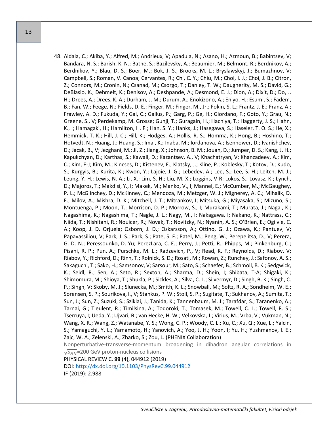48. Aidala, C.; Akiba, Y.; Alfred, M.; Andrieux, V; Apadula, N.; Asano, H.; Azmoun, B.; Babintsev, V; Bandara, N. S.; Barish, K. N.; Bathe, S.; Bazilevsky, A.; Beaumier, M.; Belmont, R.; Berdnikov, A.; Berdnikov, Y.; Blau, D. S.; Boer, M.; Bok, J. S.; Brooks, M. L.; Bryslawskyj, J.; Bumazhnov, V; Campbell, S.; Roman, V. Canoa; Cervantes, R.; Chi, C. Y.; Chiu, M.; Choi, I. J.; Choi, J. B.; Citron, Z.; Connors, M.; Cronin, N.; Csanad, M.; Csorgo, T.; Danley, T. W.; Daugherity, M. S.; David, G.; DeBlasio, K.; Dehmelt, K.; Denisov, A.; Deshpande, A.; Desmond, E. J.; Dion, A.; Dixit, D.; Do, J. H.; Drees, A.; Drees, K. A.; Durham, J. M.; Durum, A.; Enokizono, A.; En'yo, H.; Esumi, S.; Fadem, B.; Fan, W.; Feege, N.; Fields, D. E.; Finger, M.; Finger, M., Jr.; Fokin, S. L.; Frantz, J. E.; Franz, A.; Frawley, A. D.; Fukuda, Y.; Gal, C.; Gallus, P.; Garg, P.; Ge, H.; Giordano, F.; Goto, Y.; Grau, N.; Greene, S., V; Perdekamp, M. Grosse; Gunji, T.; Guragain, H.; Hachiya, T.; Haggerty, J. S.; Hahn, K., I; Hamagaki, H.; Hamilton, H. F.; Han, S. Y.; Hanks, J.; Hasegawa, S.; Haseler, T. O. S.; He, X.; Hemmick, T. K.; Hill, J. C.; Hill, K.; Hodges, A.; Hollis, R. S.; Homma, K.; Hong, B.; Hoshino, T.; Hotvedt, N.; Huang, J.; Huang, S.; Imai, K.; Inaba, M.; Iordanova, A.; Isenhower, D.; Ivanishchev, D.; Jacak, B., V; Jezghani, M.; Ji, Z.; Jiang, X.; Johnson, B. M.; Jouan, D.; Jumper, D. S.; Kang, J. H.; Kapukchyan, D.; Karthas, S.; Kawall, D.; Kazantsev, A., V; Khachatryan, V; Khanzadeev, A.; Kim, C.; Kim, E-J; Kim, M.; Kincses, D.; Kistenev, E.; Klatsky, J.; Kline, P.; Koblesky, T.; Kotov, D.; Kudo, S.; Kurgyis, B.; Kurita, K.; Kwon, Y.; Lajoie, J. G.; Lebedev, A.; Lee, S.; Lee, S. H.; Leitch, M. J.; Leung, Y. H.; Lewis, N. A.; Li, X.; Lim, S. H.; Liu, M. X.; Loggins, V-R; Lokos, S.; Lovasz, K.; Lynch, D.; Majoros, T.; Makdisi, Y., I; Makek, M.; Manko, V., I; Mannel, E.; McCumber, M.; McGaughey, P. L.; McGlinchey, D.; McKinney, C.; Mendoza, M.; Metzger, W. J.; Mignerey, A. C.; Mihalik, D. E.; Milov, A.; Mishra, D. K.; Mitchell, J. T.; Mitrankov, I; Mitsuka, G.; Miyasaka, S.; Mizuno, S.; Montuenga, P.; Moon, T.; Morrison, D. P.; Morrow, S., I; Murakami, T.; Murata, J.; Nagai, K.; Nagashima, K.; Nagashima, T.; Nagle, J. L.; Nagy, M., I; Nakagawa, I; Nakano, K.; Nattrass, C.; Niida, T.; Nishitani, R.; Nouicer, R.; Novak, T.; Novitzky, N.; Nyanin, A. S.; O'Brien, E.; Ogilvie, C. A.; Koop, J. D. Orjuela; Osborn, J. D.; Oskarsson, A.; Ottino, G. J.; Ozawa, K.; Pantuev, V; Papavassiliou, V; Park, J. S.; Park, S.; Pate, S. F.; Patel, M.; Peng, W.; Perepelitsa, D., V; Perera, G. D. N.; Peressounko, D. Yu; PerezLara, C. E.; Perry, J.; Petti, R.; Phipps, M.; Pinkenburg, C.; Pisani, R. P.; Pun, A.; Purschke, M. L.; Radzevich, P., V; Read, K. F.; Reynolds, D.; Riabov, V; Riabov, Y.; Richford, D.; Rinn, T.; Rolnick, S. D.; Rosati, M.; Rowan, Z.; Runchey, J.; Safonov, A. S.; Sakaguchi, T.; Sako, H.; Samsonov, V; Sarsour, M.; Sato, S.; Schaefer, B.; Schmoll, B. K.; Sedgwick, K.; Seidl, R.; Sen, A.; Seto, R.; Sexton, A.; Sharma, D.; Shein, I; Shibata, T-A; Shigaki, K.; Shimomura, M.; Shioya, T.; Shukla, P.; Sickles, A.; Silva, C. L.; Silvermyr, D.; Singh, B. K.; Singh, C. P.; Singh, V; Skoby, M. J.; Slunecka, M.; Smith, K. L.; Snowball, M.; Soltz, R. A.; Sondheim, W. E.; Sorensen, S. P.; Sourikova, I., V; Stankus, P. W.; Stoll, S. P.; Sugitate, T.; Sukhanov, A.; Sumita, T.; Sun, J.; Sun, Z.; Suzuki, S.; Sziklai, J.; Tanida, K.; Tannenbaum, M. J.; Tarafdar, S.; Taranenko, A.; Tarnai, G.; Tieulent, R.; Timilsina, A.; Todoroki, T.; Tomasek, M.; Towell, C. L.; Towell, R. S.; Tserruya, I; Ueda, Y.; Ujvari, B.; van Hecke, H. W.; Velkovska, J.; Virius, M.; Vrba, V.; Vukman, N.; Wang, X. R.; Wang, Z.; Watanabe, Y. S.; Wong, C. P.; Woody, C. L.; Xu, C.; Xu, Q.; Xue, L.; Yalcin, S.; Yamaguchi, Y. L.; Yamamoto, H.; Yanovich, A.; Yoo, J. H.; Yoon, I; Yu, H.; Yushmanov, I. E.; Zajc, W. A.; Zelenski, A.; Zharko, S.; Zou, L. (PHENIX Collaboration) Nonperturbative-transverse-momentum broadening in dihadron angular correlations in  $\sqrt{s_{NN}}$ =200 GeV proton-nucleus collisions

PHYSICAL REVIEW C. **99** (4), 044912 (2019)

DOI:<http://dx.doi.org/10.1103/PhysRevC.99.044912> IF (2019): 2.988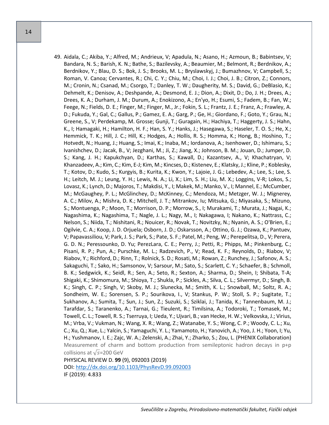49. Aidala, C.; Akiba, Y.; Alfred, M.; Andrieux, V; Apadula, N.; Asano, H.; Azmoun, B.; Babintsev, V; Bandara, N. S.; Barish, K. N.; Bathe, S.; Bazilevsky, A.; Beaumier, M.; Belmont, R.; Berdnikov, A.; Berdnikov, Y.; Blau, D. S.; Bok, J. S.; Brooks, M. L.; Bryslawskyj, J.; Bumazhnov, V; Campbell, S.; Roman, V. Canoa; Cervantes, R.; Chi, C. Y.; Chiu, M.; Choi, I. J.; Choi, J. B.; Citron, Z.; Connors, M.; Cronin, N.; Csanad, M.; Csorgo, T.; Danley, T. W.; Daugherity, M. S.; David, G.; DeBlasio, K.; Dehmelt, K.; Denisov, A.; Deshpande, A.; Desmond, E. J.; Dion, A.; Dixit, D.; Do, J. H.; Drees, A.; Drees, K. A.; Durham, J. M.; Durum, A.; Enokizono, A.; En'yo, H.; Esumi, S.; Fadem, B.; Fan, W.; Feege, N.; Fields, D. E.; Finger, M.; Finger, M., Jr.; Fokin, S. L.; Frantz, J. E.; Franz, A.; Frawley, A. D.; Fukuda, Y.; Gal, C.; Gallus, P.; Gamez, E. A.; Garg, P.; Ge, H.; Giordano, F.; Goto, Y.; Grau, N.; Greene, S., V; Perdekamp, M. Grosse; Gunji, T.; Guragain, H.; Hachiya, T.; Haggerty, J. S.; Hahn, K., I; Hamagaki, H.; Hamilton, H. F.; Han, S. Y.; Hanks, J.; Hasegawa, S.; Haseler, T. O. S.; He, X.; Hemmick, T. K.; Hill, J. C.; Hill, K.; Hodges, A.; Hollis, R. S.; Homma, K.; Hong, B.; Hoshino, T.; Hotvedt, N.; Huang, J.; Huang, S.; Imai, K.; Inaba, M.; Iordanova, A.; Isenhower, D.; Ishimaru, S.; Ivanishchev, D.; Jacak, B., V; Jezghani, M.; Ji, Z.; Jiang, X.; Johnson, B. M.; Jouan, D.; Jumper, D. S.; Kang, J. H.; Kapukchyan, D.; Karthas, S.; Kawall, D.; Kazantsev, A., V; Khachatryan, V; Khanzadeev, A.; Kim, C.; Kim, E-J; Kim, M.; Kincses, D.; Kistenev, E.; Klatsky, J.; Kline, P.; Koblesky, T.; Kotov, D.; Kudo, S.; Kurgyis, B.; Kurita, K.; Kwon, Y.; Lajoie, J. G.; Lebedev, A.; Lee, S.; Lee, S. H.; Leitch, M. J.; Leung, Y. H.; Lewis, N. A.; Li, X.; Lim, S. H.; Liu, M. X.; Loggins, V-R; Lokos, S.; Lovasz, K.; Lynch, D.; Majoros, T.; Makdisi, Y., I; Makek, M.; Manko, V., I; Mannel, E.; McCumber, M.; McGaughey, P. L.; McGlinchey, D.; McKinney, C.; Mendoza, M.; Metzger, W. J.; Mignerey, A. C.; Milov, A.; Mishra, D. K.; Mitchell, J. T.; Mitrankov, Iu; Mitsuka, G.; Miyasaka, S.; Mizuno, S.; Montuenga, P.; Moon, T.; Morrison, D. P.; Morrow, S., I; Murakami, T.; Murata, J.; Nagai, K.; Nagashima, K.; Nagashima, T.; Nagle, J. L.; Nagy, M., I; Nakagawa, I; Nakano, K.; Nattrass, C.; Nelson, S.; Niida, T.; Nishitani, R.; Nouicer, R.; Novak, T.; Novitzky, N.; Nyanin, A. S.; O'Brien, E.; Ogilvie, C. A.; Koop, J. D. Orjuela; Osborn, J. D.; Oskarsson, A.; Ottino, G. J.; Ozawa, K.; Pantuev, V; Papavassiliou, V; Park, J. S.; Park, S.; Pate, S. F.; Patel, M.; Peng, W.; Perepelitsa, D., V; Perera, G. D. N.; Peressounko, D. Yu; PerezLara, C. E.; Perry, J.; Petti, R.; Phipps, M.; Pinkenburg, C.; Pisani, R. P.; Pun, A.; Purschke, M. L.; Radzevich, P., V; Read, K. F.; Reynolds, D.; Riabov, V; Riabov, Y.; Richford, D.; Rinn, T.; Rolnick, S. D.; Rosati, M.; Rowan, Z.; Runchey, J.; Safonov, A. S.; Sakaguchi, T.; Sako, H.; Samsonov, V; Sarsour, M.; Sato, S.; Scarlett, C. Y.; Schaefer, B.; Schmoll, B. K.; Sedgwick, K.; Seidl, R.; Sen, A.; Seto, R.; Sexton, A.; Sharma, D.; Shein, I; Shibata, T-A; Shigaki, K.; Shimomura, M.; Shioya, T.; Shukla, P.; Sickles, A.; Silva, C. L.; Silvermyr, D.; Singh, B. K.; Singh, C. P.; Singh, V; Skoby, M. J.; Slunecka, M.; Smith, K. L.; Snowball, M.; Soltz, R. A.; Sondheim, W. E.; Sorensen, S. P.; Sourikova, I., V; Stankus, P. W.; Stoll, S. P.; Sugitate, T.; Sukhanov, A.; Sumita, T.; Sun, J.; Sun, Z.; Suzuki, S.; Sziklai, J.; Tanida, K.; Tannenbaum, M. J.; Tarafdar, S.; Taranenko, A.; Tarnai, G.; Tieulent, R.; Timilsina, A.; Todoroki, T.; Tomasek, M.; Towell, C. L.; Towell, R. S.; Tserruya, I; Ueda, Y.; Ujvari, B.; van Hecke, H. W.; Velkovska, J.; Virius, M.; Vrba, V.; Vukman, N.; Wang, X. R.; Wang, Z.; Watanabe, Y. S.; Wong, C. P.; Woody, C. L.; Xu, C.; Xu, Q.; Xue, L.; Yalcin, S.; Yamaguchi, Y. L.; Yamamoto, H.; Yanovich, A.; Yoo, J. H.; Yoon, I; Yu, H.; Yushmanov, I. E.; Zajc, W. A.; Zelenski, A.; Zhai, Y.; Zharko, S.; Zou, L. (PHENIX Collaboration) Measurement of charm and bottom production from semileptonic hadron decays in p+p collisions at  $\sqrt{s}$ =200 GeV PHYSICAL REVIEW D. **99** (9), 092003 (2019) DOI:<http://dx.doi.org/10.1103/PhysRevD.99.092003>

IF (2019): 4.833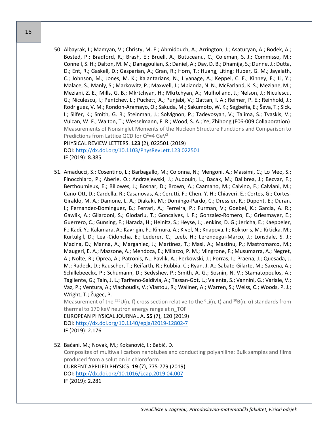- 15
- 50. Albayrak, I.; Mamyan, V.; Christy, M. E.; Ahmidouch, A.; Arrington, J.; Asaturyan, A.; Bodek, A.; Bosted, P.; Bradford, R.; Brash, E.; Bruell, A.; Butuceanu, C.; Coleman, S. J.; Commisso, M.; Connell, S. H.; Dalton, M. M.; Danagoulian, S.; Daniel, A.; Day, D. B.; Dhamija, S.; Dunne, J.; Dutta, D.; Ent, R.; Gaskell, D.; Gasparian, A.; Gran, R.; Horn, T.; Huang, Liting; Huber, G. M.; Jayalath, C.; Johnson, M.; Jones, M. K.; Kalantarians, N.; Liyanage, A.; Keppel, C. E.; Kinney, E.; Li, Y.; Malace, S.; Manly, S.; Markowitz, P.; Maxwell, J.; Mbianda, N. N.; McFarland, K. S.; Meziane, M.; Meziani, Z. E.; Mills, G. B.; Mkrtchyan, H.; Mkrtchyan, A.; Mulholland, J.; Nelson, J.; Niculescu, G.; Niculescu, I.; Pentchev, L.; Puckett, A.; Punjabi, V.; Qattan, I. A.; Reimer, P. E.; Reinhold, J.; Rodriguez, V. M.; Rondon-Aramayo, O.; Sakuda, M.; Sakumoto, W. K.; Segbefia, E.; Ševa, T.; Sick, I.; Slifer, K.; Smith, G. R.; Steinman, J.; Solvignon, P.; Tadevosyan, V.; Tajima, S.; Tvaskis, V.; Vulcan, W. F.; Walton, T.; Wesselmann, F. R.; Wood, S. A.; Ye, Zhihong (E06-009 Collaboration) Measurements of Nonsinglet Moments of the Nucleon Structure Functions and Comparison to Predictions from Lattice QCD for  $Q^2 = 4$  GeV<sup>2</sup> PHYSICAL REVIEW LETTERS. **123** (2), 022501 (2019)

DOI:<http://dx.doi.org/10.1103/PhysRevLett.123.022501> IF (2019): 8.385

51. Amaducci, S.; Cosentino, L.; Barbagallo, M.; Colonna, N.; Mengoni, A.; Massimi, C.; Lo Meo, S.; Finocchiaro, P.; Aberle, O.; Andrzejewski, J.; Audouin, L.; Bacak, M.; Balibrea, J.; Becvar, F.; Berthoumieux, E.; Billowes, J.; Bosnar, D.; Brown, A.; Caamano, M.; Calvino, F.; Calviani, M.; Cano-Ott, D.; Cardella, R.; Casanovas, A.; Cerutti, F.; Chen, Y. H.; Chiaveri, E.; Cortes, G.; Cortes-Giraldo, M. A.; Damone, L. A.; Diakaki, M.; Domingo-Pardo, C.; Dressler, R.; Dupont, E.; Duran, I.; Fernandez-Dominguez, B.; Ferrari, A.; Ferreira, P.; Furman, V.; Goebel, K.; Garcia, A. R.; Gawlik, A.; Gilardoni, S.; Glodariu, T.; Goncalves, I. F.; Gonzalez-Romero, E.; Griesmayer, E.; Guerrero, C.; Gunsing, F.; Harada, H.; Heinitz, S.; Heyse, J.; Jenkins, D. G.; Jericha, E.; Kaeppeler, F.; Kadi, Y.; Kalamara, A.; Kavrigin, P.; Kimura, A.; Kivel, N.; Knapova, I.; Kokkoris, M.; Krticka, M.; Kurtulgil, D.; Leal-Cidoncha, E.; Lederer, C.; Leeb, H.; Lerendegui-Marco, J.; Lonsdale, S. J.; Macina, D.; Manna, A.; Marganiec, J.; Martinez, T.; Masi, A.; Mastinu, P.; Mastromarco, M.; Maugeri, E. A.; Mazzone, A.; Mendoza, E.; Milazzo, P. M.; Mingrone, F.; Musumarra, A.; Negret, A.; Nolte, R.; Oprea, A.; Patronis, N.; Pavlik, A.; Perkowski, J.; Porras, I.; Praena, J.; Quesada, J. M.; Radeck, D.; Rauscher, T.; Reifarth, R.; Rubbia, C.; Ryan, J. A.; Sabate-Gilarte, M.; Saxena, A.; Schillebeeckx, P.; Schumann, D.; Sedyshev, P.; Smith, A. G.; Sosnin, N. V.; Stamatopoulos, A.; Tagliente, G.; Tain, J. L.; Tarifeno-Saldivia, A.; Tassan-Got, L.; Valenta, S.; Vannini, G.; Variale, V.; Vaz, P.; Ventura, A.; Vlachoudis, V.; Vlastou, R.; Wallner, A.; Warren, S.; Weiss, C.; Woods, P. J.; Wright, T.; Žugec, P.

Measurement of the <sup>235</sup>U(n, f) cross section relative to the <sup>6</sup>Li(n, t) and <sup>10</sup>B(n,  $\alpha$ ) standards from thermal to 170 keV neutron energy range at n\_TOF

EUROPEAN PHYSICAL JOURNAL A. **55** (7), 120 (2019) DOI: [http://dx.doi.org/10.1140/epja/i2019](http://dx.doi.org/10.1140/epja/i2019-12802-7)-12802-7 IF (2019): 2.176

52. Baćani, M.; Novak, M.; Kokanović, I.; Babić, D.

Composites of multiwall carbon nanotubes and conducting polyaniline: Bulk samples and films produced from a solution in chloroform CURRENT APPLIED PHYSICS. **19** (7), 775-779 (2019)

DOI:<http://dx.doi.org/10.1016/j.cap.2019.04.007> IF (2019): 2.281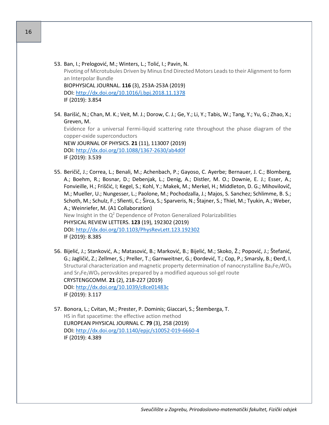- 53. Ban, I.; Prelogović, M.; Winters, L.; Tolić, I.; Pavin, N. Pivoting of Microtubules Driven by Minus End Directed Motors Leads to their Alignment to form an Interpolar Bundle BIOPHYSICAL JOURNAL. **116** (3), 253A-253A (2019) DOI:<http://dx.doi.org/10.1016/j.bpj.2018.11.1378> IF (2019): 3.854
- 54. Barišić, N.; Chan, M. K.; Veit, M. J.; Dorow, C. J.; Ge, Y.; Li, Y.; Tabis, W.; Tang, Y.; Yu, G.; Zhao, X.; Greven, M. Evidence for a universal Fermi-liquid scattering rate throughout the phase diagram of the copper-oxide superconductors NEW JOURNAL OF PHYSICS. **21** (11), 113007 (2019) DOI: [http://dx.doi.org/10.1088/1367](http://dx.doi.org/10.1088/1367-2630/ab4d0f)-2630/ab4d0f IF (2019): 3.539
- 55. Beričič, J.; Correa, L.; Benali, M.; Achenbach, P.; Gayoso, C. Ayerbe; Bernauer, J. C.; Blomberg, A.; Boehm, R.; Bosnar, D.; Debenjak, L.; Denig, A.; Distler, M. O.; Downie, E. J.; Esser, A.; Fonvieille, H.; Friščić, I; Kegel, S.; Kohl, Y.; Makek, M.; Merkel, H.; Middleton, D. G.; Mihovilovič, M.; Mueller, U.; Nungesser, L.; Paolone, M.; Pochodzalla, J.; Majos, S. Sanchez; Schlimme, B. S.; Schoth, M.; Schulz, F.; Sfienti, C.; Širca, S.; Sparveris, N.; Štajner, S.; Thiel, M.; Tyukin, A.; Weber, A.; Weinriefer, M. (A1 Collaboration) New Insight in the  $Q^2$  Dependence of Proton Generalized Polarizabilities PHYSICAL REVIEW LETTERS. **123** (19), 192302 (2019) DOI:<http://dx.doi.org/10.1103/PhysRevLett.123.192302> IF (2019): 8.385
- 56. Bijelić, J.; Stanković, A.; Matasović, B.; Marković, B.; Bijelić, M.; Skoko, Ž.; Popović, J.; Štefanić, G.; Jagličić, Z.; Zellmer, S.; Preller, T.; Garnweitner, G.; Đordević, T.; Cop, P.; Smarsly, B.; Đerđ, I. Structural characterization and magnetic property determination of nanocrystalline Ba<sub>3</sub>Fe<sub>2</sub>WO<sub>9</sub> and Sr3Fe2WO<sup>9</sup> perovskites prepared by a modified aqueous sol-gel route CRYSTENGCOMM. **21** (2), 218-227 (2019) DOI:<http://dx.doi.org/10.1039/c8ce01483c> IF (2019): 3.117
- 57. Bonora, L.; Cvitan, M.; Prester, P. Dominis; Giaccari, S.; Štemberga, T. HS in flat spacetime: the effective action method EUROPEAN PHYSICAL JOURNAL C. **79** (3), 258 (2019) DOI: [http://dx.doi.org/10.1140/epjc/s10052](http://dx.doi.org/10.1140/epjc/s10052-019-6660-4)-019-6660-4 IF (2019): 4.389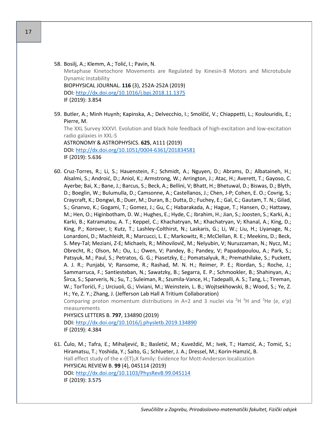58. Bosilj, A.; Klemm, A.; Tolić, I.; Pavin, N. Metaphase Kinetochore Movements are Regulated by Kinesin-8 Motors and Microtubule Dynamic Instability BIOPHYSICAL JOURNAL. **116** (3), 252A-252A (2019) DOI:<http://dx.doi.org/10.1016/j.bpj.2018.11.1375> IF (2019): 3.854

- 59. Butler, A.; Minh Huynh; Kapinska, A.; Delvecchio, I.; Smolčić, V.; Chiappetti, L.; Koulouridis, E.; Pierre, M. The XXL Survey XXXVI. Evolution and black hole feedback of high-excitation and low-excitation radio galaxies in XXL-S ASTRONOMY & ASTROPHYSICS. **625**, A111 (2019) DOI: [http://dx.doi.org/10.1051/0004](http://dx.doi.org/10.1051/0004-6361/201834581)-6361/201834581 IF (2019): 5.636
- 60. Cruz-Torres, R.; Li, S.; Hauenstein, F.; Schmidt, A.; Nguyen, D.; Abrams, D.; Albataineh, H.; Alsalmi, S.; Androić, D.; Aniol, K.; Armstrong, W.; Arrington, J.; Atac, H.; Averett, T.; Gayoso, C. Ayerbe; Bai, X.; Bane, J.; Barcus, S.; Beck, A.; Bellini, V; Bhatt, H.; Bhetuwal, D.; Biswas, D.; Blyth, D.; Boeglin, W.; Bulumulla, D.; Camsonne, A.; Castellanos, J.; Chen, J-P; Cohen, E. O.; Covrig, S.; Craycraft, K.; Dongwi, B.; Duer, M.; Duran, B.; Dutta, D.; Fuchey, E.; Gal, C.; Gautam, T. N.; Gilad, S.; Gnanvo, K.; Gogami, T.; Gomez, J.; Gu, C.; Habarakada, A.; Hague, T.; Hansen, O.; Hattawy, M.; Hen, O.; Higinbotham, D. W.; Hughes, E.; Hyde, C.; Ibrahim, H.; Jian, S.; Joosten, S.; Karki, A.; Karki, B.; Katramatou, A. T.; Keppel, C.; Khachatryan, M.; Khachatryan, V; Khanal, A.; King, D.; King, P.; Korover, I; Kutz, T.; Lashley-Colthirst, N.; Laskaris, G.; Li, W.; Liu, H.; Liyanage, N.; Lonardoni, D.; Machleidt, R.; Marcucci, L. E.; Markowitz, R.; McClellan, R. E.; Meekins, D.; Beck, S. Mey-Tal; Meziani, Z-E; Michaels, R.; Mihovilovič, M.; Nelyubin, V; Nuruzzaman, N.; Nycz, M.; Obrecht, R.; Olson, M.; Ou, L.; Owen, V; Pandey, B.; Pandey, V; Papadopoulou, A.; Park, S.; Patsyuk, M.; Paul, S.; Petratos, G. G.; Piasetzky, E.; Pomatsalyuk, R.; Premathilake, S.; Puckett, A. J. R.; Punjabi, V; Ransome, R.; Rashad, M. N. H.; Reimer, P. E.; Riordan, S.; Roche, J.; Sammarruca, F.; Santiesteban, N.; Sawatzky, B.; Segarra, E. P.; Schmookler, B.; Shahinyan, A.; Širca, S.; Sparveris, N.; Su, T.; Suleiman, R.; Szumila-Vance, H.; Tadepalli, A. S.; Tang, L.; Tireman, W.; TorTorići, F.; Urciuoli, G.; Viviani, M.; Weinstein, L. B.; Wojtsekhowski, B.; Wood, S.; Ye, Z. H.; Ye, Z. Y.; Zhang, J. (Jefferson Lab Hall A Tritium Collaboration)

Comparing proton momentum distributions in A=2 and 3 nuclei via <sup>2</sup>H <sup>3</sup>H and <sup>3</sup>He (e, e'p) measurements

PHYSICS LETTERS B. **797**, 134890 (2019)

DOI:<http://dx.doi.org/10.1016/j.physletb.2019.134890> IF (2019): 4.384

61. Čulo, M.; Tafra, E.; Mihaljević, B.; Basletić, M.; Kuveždić, M.; Ivek, T.; Hamzić, A.; Tomić, S.; Hiramatsu, T.; Yoshida, Y.; Saito, G.; Schlueter, J. A.; Dressel, M.; Korin-Hamzić, B. Hall effect study of the κ-(ET)<sub>2</sub>X family: Evidence for Mott-Anderson localization PHYSICAL REVIEW B. **99** (4), 045114 (2019) DOI:<http://dx.doi.org/10.1103/PhysRevB.99.045114> IF (2019): 3.575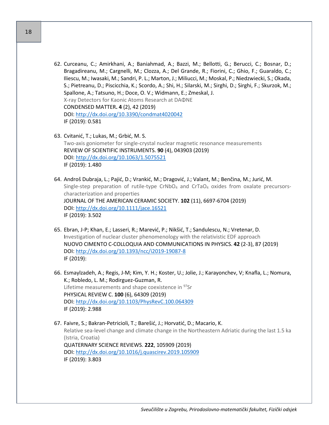- 62. Curceanu, C.; Amirkhani, A.; Baniahmad, A.; Bazzi, M.; Bellotti, G.; Berucci, C.; Bosnar, D.; Bragadireanu, M.; Cargnelli, M.; Clozza, A.; Del Grande, R.; Fiorini, C.; Ghio, F.; Guaraldo, C.; Iliescu, M.; Iwasaki, M.; Sandri, P. L.; Marton, J.; Miliucci, M.; Moskal, P.; Niedzwiecki, S.; Okada, S.; Pietreanu, D.; Piscicchia, K.; Scordo, A.; Shi, H.; Silarski, M.; Sirghi, D.; Sirghi, F.; Skurzok, M.; Spallone, A.; Tatsuno, H.; Doce, O. V.; Widmann, E.; Zmeskal, J. X-ray Detectors for Kaonic Atoms Research at DAΦNE CONDENSED MATTER**. 4** (2), 42 (2019) DOI:<http://dx.doi.org/10.3390/condmat4020042> IF (2019): 0.581
- 63. Cvitanić, T.; Lukas, M.; Grbić, M. S. Two-axis goniometer for single-crystal nuclear magnetic resonance measurements REVIEW OF SCIENTIFIC INSTRUMENTS. **90** (4), 043903 (2019) DOI:<http://dx.doi.org/10.1063/1.5075521> IF (2019): 1.480
- 64. Androš Dubraja, L.; Pajić, D.; Vrankić, M.; Dragović, J.; Valant, M.; Benčina, M.; Jurić, M. Single-step preparation of rutile-type  $CrNbO<sub>4</sub>$  and  $CrTaO<sub>4</sub>$  oxides from oxalate precursorscharacterization and properties JOURNAL OF THE AMERICAN CERAMIC SOCIETY. **102** (11), 6697-6704 (2019) DOI:<http://dx.doi.org/10.1111/jace.16521> IF (2019): 3.502
- 65. Ebran, J-P; Khan, E.; Lasseri, R.; Marević, P.; Nikšić, T.; Sandulescu, N.; Vretenar, D. Investigation of nuclear cluster phenomenology with the relativistic EDF approach NUOVO CIMENTO C-COLLOQUIA AND COMMUNICATIONS IN PHYSICS. **42** (2-3), 87 (2019) DOI: [http://dx.doi.org/10.1393/ncc/i2019](http://dx.doi.org/10.1393/ncc/i2019-19087-8)-19087-8 IF (2019):
- 66. Esmaylzadeh, A.; Regis, J-M; Kim, Y. H.; Koster, U.; Jolie, J.; Karayonchev, V; Knafla, L.; Nomura, K.; Robledo, L. M.; Rodirguez-Guzman, R. Lifetime measurements and shape coexistence in <sup>97</sup>Sr PHYSICAL REVIEW C. **100** (6), 64309 (2019) DOI:<http://dx.doi.org/10.1103/PhysRevC.100.064309> IF (2019): 2.988
- 67. Faivre, S.; Bakran-Petricioli, T.; Barešić, J.; Horvatić, D.; Macario, K. Relative sea-level change and climate change in the Northeastern Adriatic during the last 1.5 ka (Istria, Croatia) QUATERNARY SCIENCE REVIEWS. **222**, 105909 (2019) DOI:<http://dx.doi.org/10.1016/j.quascirev.2019.105909> IF (2019): 3.803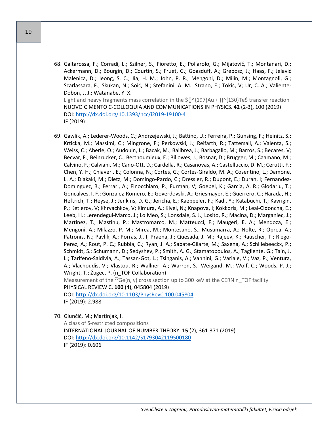68. Galtarossa, F.; Corradi, L.; Szilner, S.; Fioretto, E.; Pollarolo, G.; Mijatović, T.; Montanari, D.; Ackermann, D.; Bourgin, D.; Courtin, S.; Fruet, G.; Goasduff, A.; Grebosz, J.; Haas, F.; Jelavić Malenica, D.; Jeong, S. C.; Jia, H. M.; John, P. R.; Mengoni, D.; Milin, M.; Montagnoli, G.; Scarlassara, F.; Skukan, N.; Soić, N.; Stefanini, A. M.; Strano, E.; Tokić, V; Ur, C. A.; Valiente-Dobon, J. J.; Watanabe, Y. X. Light and heavy fragments mass correlation in the  ${\frac{\varsigma}{\varsigma}}^{A}$ {197}Au + {}^{130}Te\$ transfer reaction

NUOVO CIMENTO C-COLLOQUIA AND COMMUNICATIONS IN PHYSICS. **42** (2-3), 100 (2019) DOI: [http://dx.doi.org/10.1393/ncc/i2019](http://dx.doi.org/10.1393/ncc/i2019-19100-4)-19100-4 IF (2019):

69. Gawlik, A.; Lederer-Woods, C.; Andrzejewski, J.; Battino, U.; Ferreira, P.; Gunsing, F.; Heinitz, S.; Krticka, M.; Massimi, C.; Mingrone, F.; Perkowski, J.; Reifarth, R.; Tattersall, A.; Valenta, S.; Weiss, C.; Aberle, O.; Audouin, L.; Bacak, M.; Balibrea, J.; Barbagallo, M.; Barros, S.; Becares, V; Becvar, F.; Beinrucker, C.; Berthoumieux, E.; Billowes, J.; Bosnar, D.; Brugger, M.; Caamano, M.; Calvino, F.; Calviani, M.; Cano-Ott, D.; Cardella, R.; Casanovas, A.; Castelluccio, D. M.; Cerutti, F.; Chen, Y. H.; Chiaveri, E.; Colonna, N.; Cortes, G.; Cortes-Giraldo, M. A.; Cosentino, L.; Damone, L. A.; Diakaki, M.; Dietz, M.; Domingo-Pardo, C.; Dressler, R.; Dupont, E.; Duran, I; Fernandez-Dominguez, B.; Ferrari, A.; Finocchiaro, P.; Furman, V; Goebel, K.; Garcia, A. R.; Glodariu, T.; Goncalves, I. F.; Gonzalez-Romero, E.; Goverdovski, A.; Griesmayer, E.; Guerrero, C.; Harada, H.; Heftrich, T.; Heyse, J.; Jenkins, D. G.; Jericha, E.; Kaeppeler, F.; Kadi, Y.; Katabuchi, T.; Kavrigin, P.; Ketlerov, V; Khryachkov, V; Kimura, A.; Kivel, N.; Knapova, I; Kokkoris, M.; Leal-Cidoncha, E.; Leeb, H.; Lerendegui-Marco, J.; Lo Meo, S.; Lonsdale, S. J.; Losito, R.; Macina, D.; Marganiec, J.; Martinez, T.; Mastinu, P.; Mastromarco, M.; Matteucci, F.; Maugeri, E. A.; Mendoza, E.; Mengoni, A.; Milazzo, P. M.; Mirea, M.; Montesano, S.; Musumarra, A.; Nolte, R.; Oprea, A.; Patronis, N.; Pavlik, A.; Porras, J., I; Praena, J.; Quesada, J. M.; Rajeev, K.; Rauscher, T.; Riego-Perez, A.; Rout, P. C.; Rubbia, C.; Ryan, J. A.; Sabate-Gilarte, M.; Saxena, A.; Schillebeeckx, P.; Schmidt, S.; Schumann, D.; Sedyshev, P.; Smith, A. G.; Stamatopoulos, A.; Tagliente, G.; Tain, J. L.; Tarifeno-Saldivia, A.; Tassan-Got, L.; Tsinganis, A.; Vannini, G.; Variale, V.; Vaz, P.; Ventura, A.; Vlachoudis, V.; Vlastou, R.; Wallner, A.; Warren, S.; Weigand, M.; Wolf, C.; Woods, P. J.; Wright, T.; Žugec, P. (n TOF Collaboration) Measurement of the <sup>70</sup>Ge(n, γ) cross section up to 300 keV at the CERN n\_TOF facility PHYSICAL REVIEW C. **100** (4), 045804 (2019)

DOI:<http://dx.doi.org/10.1103/PhysRevC.100.045804> IF (2019): 2.988

70. Glunčić, M.; Martinjak, I.

A class of S-restricted compositions INTERNATIONAL JOURNAL OF NUMBER THEORY. **15** (2), 361-371 (2019) DOI:<http://dx.doi.org/10.1142/S1793042119500180> IF (2019): 0.606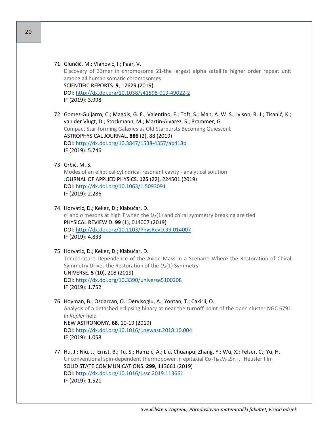- 71. Glunčić, M.; Vlahović, I.; Paar, V. Discovery of 33mer in chromosome 21-the largest alpha satellite higher order repeat unit among all human somatic chromosomes SCIENTIFIC REPORTS. **9**, 12629 (2019) DOI: [http://dx.doi.org/10.1038/s41598](http://dx.doi.org/10.1038/s41598-019-49022-2)-019-49022-2 IF (2019): 3.998
- 72. Gomez-Guijarro, C.; Magdis, G. E.; Valentino, F.; Toft, S.; Man, A. W. S.; Ivison, R. J.; Tisanić, K.; van der Vlugt, D.; Stockmann, M.; Martin-Alvarez, S.; Brammer, G. Compact Star-forming Galaxies as Old Starbursts Becoming Quiescent ASTROPHYSICAL JOURNAL. **886** (2), 88 (2019) DOI: [http://dx.doi.org/10.3847/1538](http://dx.doi.org/10.3847/1538-4357/ab418b)-4357/ab418b IF (2019): 5.746

## 73. Grbić, M. S.

Modes of an elliptical cylindrical resonant cavity - analytical solution JOURNAL OF APPLIED PHYSICS. **125** (22), 224501 (2019) DOI:<http://dx.doi.org/10.1063/1.5093091> IF (2019): 2.286

- 74. Horvatić, D.; Kekez, D.; Klabučar, D. *η'* and *η* mesons at high *T* when the *UA*(1) and chiral symmetry breaking are tied PHYSICAL REVIEW D. **99** (1), 014007 (2019) DOI:<http://dx.doi.org/10.1103/PhysRevD.99.014007> IF (2019): 4.833
- 75. Horvatić, D.; Kekez, D.; Klabučar, D. Temperature Dependence of the Axion Mass in a Scenario Where the Restoration of Chiral Symmetry Drives the Restoration of the *UA*(1) Symmetry UNIVERSE. **5** (10), 208 (2019) DOI:<http://dx.doi.org/10.3390/universe5100208> IF (2019): 1.752
- 76. Hoyman, B.; Ozdarcan, O.; Dervisoglu, A.; Yontan, T.; Cakirli, O. Analysis of a detached eclipsing binary at near the turnoff point of the open cluster NGC 6791 in *Kepler* field NEW ASTRONOMY. **68**, 10-19 (2019) DOI:<http://dx.doi.org/10.1016/j.newast.2018.10.004> IF (2019): 1.058
- 77. Hu, J.; Niu, J.; Ernst, B.; Tu, S.; Hamzić, A.; Liu, Chuanpu; Zhang, Y.; Wu, X.; Felser, C.; Yu, H. Unconventional spin-dependent thermopower in epitaxial  $Co_2Ti_{0.6}V_{0.4}Sn_{0.75}$  Heusler film SOLID STATE COMMUNICATIONS. **299**, 113661 (2019) DOI:<http://dx.doi.org/10.1016/j.ssc.2019.113661> IF (2019): 1.521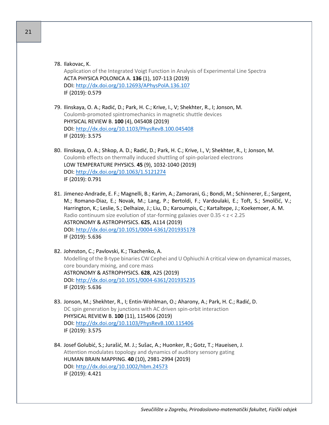- 78. Ilakovac, K. Application of the Integrated Voigt Function in Analysis of Experimental Line Spectra ACTA PHYSICA POLONICA A. **136** (1), 107-113 (2019) DOI:<http://dx.doi.org/10.12693/APhysPolA.136.107> IF (2019): 0.579
- 79. Ilinskaya, O. A.; Radić, D.; Park, H. C.; Krive, I., V; Shekhter, R., I; Jonson, M. Coulomb-promoted spintromechanics in magnetic shuttle devices PHYSICAL REVIEW B. **100** (4), 045408 (2019) DOI:<http://dx.doi.org/10.1103/PhysRevB.100.045408> IF (2019): 3.575
- 80. Ilinskaya, O. A.; Shkop, A. D.; Radić, D.; Park, H. C.; Krive, I., V; Shekhter, R., I; Jonson, M. Coulomb effects on thermally induced shuttling of spin-polarized electrons LOW TEMPERATURE PHYSICS. **45** (9), 1032-1040 (2019) DOI:<http://dx.doi.org/10.1063/1.5121274> IF (2019): 0.791
- 81. Jimenez-Andrade, E. F.; Magnelli, B.; Karim, A.; Zamorani, G.; Bondi, M.; Schinnerer, E.; Sargent, M.; Romano-Diaz, E.; Novak, M.; Lang, P.; Bertoldi, F.; Vardoulaki, E.; Toft, S.; Smolčić, V.; Harrington, K.; Leslie, S.; Delhaize, J.; Liu, D.; Karoumpis, C.; Kartaltepe, J.; Koekemoer, A. M. Radio continuum size evolution of star-forming galaxies over 0.35 < z < 2.25 ASTRONOMY & ASTROPHYSICS. **625**, A114 (2019) DOI: [http://dx.doi.org/10.1051/0004](http://dx.doi.org/10.1051/0004-6361/201935178)-6361/201935178 IF (2019): 5.636
- 82. Johnston, C.; Pavlovski, K.; Tkachenko, A. Modelling of the B-type binaries CW Cephei and U Ophiuchi A critical view on dynamical masses, core boundary mixing, and core mass ASTRONOMY & ASTROPHYSICS. **628**, A25 (2019) DOI: [http://dx.doi.org/10.1051/0004](http://dx.doi.org/10.1051/0004-6361/201935235)-6361/201935235 IF (2019): 5.636
- 83. Jonson, M.; Shekhter, R., I; Entin-Wohlman, O.; Aharony, A.; Park, H. C.; Radić, D. DC spin generation by junctions with AC driven spin-orbit interaction PHYSICAL REVIEW B. **100** (11), 115406 (2019) DOI:<http://dx.doi.org/10.1103/PhysRevB.100.115406> IF (2019): 3.575
- 84. Josef Golubić, S.; Jurašić, M. J.; Sušac, A.; Huonker, R.; Gotz, T.; Haueisen, J. Attention modulates topology and dynamics of auditory sensory gating HUMAN BRAIN MAPPING. **40** (10), 2981-2994 (2019) DOI:<http://dx.doi.org/10.1002/hbm.24573> IF (2019): 4.421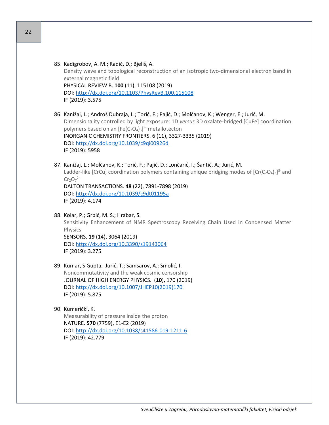- 85. Kadigrobov, A. M.; Radić, D.; Bjeliš, A. Density wave and topological reconstruction of an isotropic two-dimensional electron band in external magnetic field PHYSICAL REVIEW B. **100** (11), 115108 (2019) DOI:<http://dx.doi.org/10.1103/PhysRevB.100.115108> IF (2019): 3.575
- 86. Kanižaj, L.; Androš Dubraja, L.; Torić, F.; Pajić, D.; Molčanov, K.; Wenger, E.; Jurić, M. Dimensionality controlled by light exposure: 1D *versus* 3D oxalate-bridged [CuFe] coordination polymers based on an  $[Fe(C<sub>2</sub>O<sub>4</sub>)<sub>3</sub>]<sup>3</sup>$  metallotecton INORGANIC CHEMISTRY FRONTIERS. 6 (11), 3327-3335 (2019) DOI:<http://dx.doi.org/10.1039/c9qi00926d> IF (2019): 5958
- 87. Kanižaj, L.; Molčanov, K.; Torić, F.; Pajić, D.; Lončarić, I.; Šantić, A.; Jurić, M. Ladder-like [CrCu] coordination polymers containing unique bridging modes of  $[Cr(C<sub>2</sub>O<sub>4</sub>)<sub>3</sub>]<sup>3</sup>$  and  $Cr<sub>2</sub>O<sub>7</sub><sup>2</sup>$ DALTON TRANSACTIONS. **48** (22), 7891-7898 (2019) DOI:<http://dx.doi.org/10.1039/c9dt01195a>

IF (2019): 4.174

- 88. Kolar, P.; Grbić, M. S.; Hrabar, S. Sensitivity Enhancement of NMR Spectroscopy Receiving Chain Used in Condensed Matter Physics SENSORS. **19** (14), 3064 (2019) DOI:<http://dx.doi.org/10.3390/s19143064> IF (2019): 3.275
- 89. Kumar, S Gupta, Jurić, T.; Samsarov, A.; Smolić, I. Noncommutativity and the weak cosmic censorship JOURNAL OF HIGH ENERGY PHYSICS. (**10**), 170 (2019) DOI: [http://dx.doi.org/10.1007/JHEP10\(2019\)170](http://dx.doi.org/10.1007/JHEP10(2019)170) IF (2019): 5.875
- 90. Kumerički, K. Measurability of pressure inside the proton NATURE. **570** (7759), E1-E2 (2019) DOI: [http://dx.doi.org/10.1038/s41586](http://dx.doi.org/10.1038/s41586-019-1211-6)-019-1211-6 IF (2019): 42.779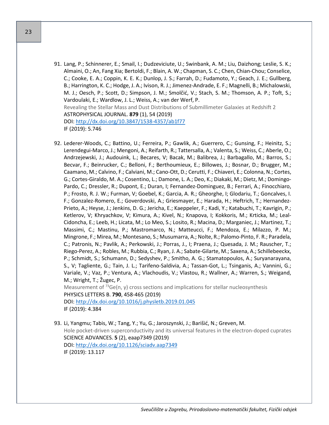- 91. Lang, P.; Schinnerer, E.; Smail, I.; Dudzeviciute, U.; Swinbank, A. M.; Liu, Daizhong; Leslie, S. K.; Almaini, O.; An, Fang Xia; Bertoldi, F.; Blain, A. W.; Chapman, S. C.; Chen, Chian-Chou; Conselice, C.; Cooke, E. A.; Coppin, K. E. K.; Dunlop, J. S.; Farrah, D.; Fudamoto, Y.; Geach, J. E.; Gullberg, B.; Harrington, K. C.; Hodge, J. A.; Ivison, R. J.; Jimenez-Andrade, E. F.; Magnelli, B.; Michalowski, M. J.; Oesch, P.; Scott, D.; Simpson, J. M.; Smolčić, V.; Stach, S. M.; Thomson, A. P.; Toft, S.; Vardoulaki, E.; Wardlow, J. L.; Weiss, A.; van der Werf, P. Revealing the Stellar Mass and Dust Distributions of Submillimeter Galaxies at Redshift 2 ASTROPHYSICAL JOURNAL. **879** (1), 54 (2019) DOI: [http://dx.doi.org/10.3847/1538](http://dx.doi.org/10.3847/1538-4357/ab1f77)-4357/ab1f77 IF (2019): 5.746
- 92. Lederer-Woods, C.; Battino, U.; Ferreira, P.; Gawlik, A.; Guerrero, C.; Gunsing, F.; Heinitz, S.; Lerendegui-Marco, J.; Mengoni, A.; Reifarth, R.; Tattersalla, A.; Valenta, S.; Weiss, C.; Aberle, O.; Andrzejewski, J.; Audouink, L.; Becares, V; Bacak, M.; Balibrea, J.; Barbagallo, M.; Barros, S.; Becvar, F.; Beinrucker, C.; Belloni, F.; Berthoumieux, E.; Billowes, J.; Bosnar, D.; Brugger, M.; Caamano, M.; Calvino, F.; Calviani, M.; Cano-Ott, D.; Cerutti, F.; Chiaveri, E.; Colonna, N.; Cortes, G.; Cortes-Giraldo, M. A.; Cosentino, L.; Damone, L. A.; Deo, K.; Diakaki, M.; Dietz, M.; Domingo-Pardo, C.; Dressler, R.; Dupont, E.; Duran, I; Fernandez-Dominguez, B.; Ferrari, A.; Finocchiaro, P.; Frosto, R. J. W.; Furman, V; Goebel, K.; Garcia, A. R.; Gheorghe, I; Glodariu, T.; Goncalves, I. F.; Gonzalez-Romero, E.; Goverdovski, A.; Griesmayer, E.; Harada, H.; Heftrich, T.; Hernandez-Prieto, A.; Heyse, J.; Jenkins, D. G.; Jericha, E.; Kaeppeler, F.; Kadi, Y.; Katabuchi, T.; Kavrigin, P.; Ketlerov, V; Khryachkov, V; Kimura, A.; Kivel, N.; Knapova, I; Kokkoris, M.; Krticka, M.; Leal-Cidoncha, E.; Leeb, H.; Licata, M.; Lo Meo, S.; Losito, R.; Macina, D.; Marganiec, J.; Martinez, T.; Massimi, C.; Mastinu, P.; Mastromarco, N.; Matteucci, F.; Mendoza, E.; Milazzo, P. M.; Mingrone, F.; Mirea, M.; Montesano, S.; Musumarra, A.; Nolte, R.; Palomo-Pinto, F. R.; Paradela, C.; Patronis, N.; Pavlik, A.; Perkowski, J.; Porras, J., I; Praena, J.; Quesada, J. M.; Rauscher, T.; Riego-Perez, A.; Robles, M.; Rubbia, C.; Ryan, J. A.; Sabate-Gilarte, M.; Saxena, A.; Schillebeeckx, P.; Schmidt, S.; Schumann, D.; Sedyshev, P.; Smitho, A. G.; Stamatopoulos, A.; Suryanarayana, S., V; Tagliente, G.; Tain, J. L.; Tarifeno-Saldivia, A.; Tassan-Got, L.; Tsinganis, A.; Vannini, G.; Variale, V.; Vaz, P.; Ventura, A.; Vlachoudis, V.; Vlastou, R.; Wallner, A.; Warren, S.; Weigand, M.; Wright, T.; Žugec, P. Measurement of  $73$ Ge(n, y) cross sections and implications for stellar nucleosynthesis

PHYSICS LETTERS B. **790**, 458-465 (2019)

DOI:<http://dx.doi.org/10.1016/j.physletb.2019.01.045> IF (2019): 4.384

93. Li, Yangmu; Tabis, W.; Tang, Y.; Yu, G.; Jaroszynski, J.; Barišić, N.; Greven, M. Hole pocket-driven superconductivity and its universal features in the electron-doped cuprates SCIENCE ADVANCES. **5** (2), eaap7349 (2019) DOI:<http://dx.doi.org/10.1126/sciadv.aap7349> IF (2019): 13.117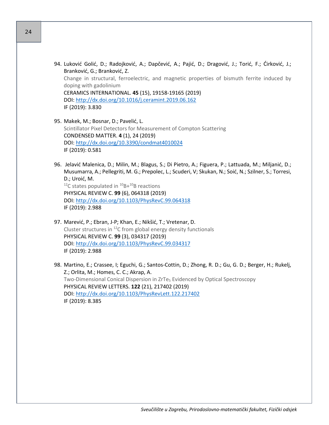- 94. Luković Golić, D.; Radojković, A.; Dapčević, A.; Pajić, D.; Dragović, J.; Torić, F.; Ćirković, J.; Branković, G.; Branković, Z. Change in structural, ferroelectric, and magnetic properties of bismuth ferrite induced by doping with gadolinium CERAMICS INTERNATIONAL. **45** (15), 19158-19165 (2019) DOI:<http://dx.doi.org/10.1016/j.ceramint.2019.06.162> IF (2019): 3.830
- 95. Makek, M.; Bosnar, D.; Pavelić, L. Scintillator Pixel Detectors for Measurement of Compton Scattering CONDENSED MATTER. **4** (1), 24 (2019) DOI:<http://dx.doi.org/10.3390/condmat4010024> IF (2019): 0.581
- 96. Jelavić Malenica, D.; Milin, M.; Blagus, S.; Di Pietro, A.; Figuera, P.; Lattuada, M.; Miljanić, D.; Musumarra, A.; Pellegriti, M. G.; Prepolec, L.; Scuderi, V; Skukan, N.; Soić, N.; Szilner, S.; Torresi, D.; Uroić, M.  $12C$  states populated in  $10B+10B$  reactions PHYSICAL REVIEW C. **99** (6), 064318 (2019) DOI:<http://dx.doi.org/10.1103/PhysRevC.99.064318> IF (2019): 2.988
- 97. Marević, P.; Ebran, J-P; Khan, E.; Nikšić, T.; Vretenar, D. Cluster structures in  $^{12}$ C from global energy density functionals PHYSICAL REVIEW C. **99** (3), 034317 (2019) DOI:<http://dx.doi.org/10.1103/PhysRevC.99.034317> IF (2019): 2.988
- 98. Martino, E.; Crassee, I; Eguchi, G.; Santos-Cottin, D.; Zhong, R. D.; Gu, G. D.; Berger, H.; Rukelj, Z.; Orlita, M.; Homes, C. C.; Akrap, A. Two-Dimensional Conical Dispersion in ZrTe<sub>5</sub> Evidenced by Optical Spectroscopy PHYSICAL REVIEW LETTERS. **122** (21), 217402 (2019) DOI:<http://dx.doi.org/10.1103/PhysRevLett.122.217402> IF (2019): 8.385

24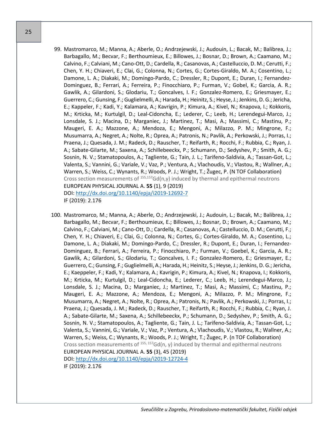- 99. Mastromarco, M.; Manna, A.; Aberle, O.; Andrzejewski, J.; Audouin, L.; Bacak, M.; Balibrea, J.; Barbagallo, M.; Becvar, F.; Berthoumieux, E.; Billowes, J.; Bosnar, D.; Brown, A.; Caamano, M.; Calvino, F.; Calviani, M.; Cano-Ott, D.; Cardella, R.; Casanovas, A.; Castelluccio, D. M.; Cerutti, F.; Chen, Y. H.; Chiaveri, E.; Clai, G.; Colonna, N.; Cortes, G.; Cortes-Giraldo, M. A.; Cosentino, L.; Damone, L. A.; Diakaki, M.; Domingo-Pardo, C.; Dressler, R.; Dupont, E.; Duran, I.; Fernandez-Dominguez, B.; Ferrari, A.; Ferreira, P.; Finocchiaro, P.; Furman, V.; Gobel, K.; Garcia, A. R.; Gawlik, A.; Gilardoni, S.; Glodariu, T.; Goncalves, I. F.; Gonzalez-Romero, E.; Griesmayer, E.; Guerrero, C.; Gunsing, F.; Guglielmelli, A.; Harada, H.; Heinitz, S.; Heyse, J.; Jenkins, D. G.; Jericha, E.; Kappeler, F.; Kadi, Y.; Kalamara, A.; Kavrigin, P.; Kimura, A.; Kivel, N.; Knapova, I.; Kokkoris, M.; Krticka, M.; Kurtulgil, D.; Leal-Cidoncha, E.; Lederer, C.; Leeb, H.; Lerendegui-Marco, J.; Lonsdale, S. J.; Macina, D.; Marganiec, J.; Martinez, T.; Masi, A.; Massimi, C.; Mastinu, P.; Maugeri, E. A.; Mazzone, A.; Mendoza, E.; Mengoni, A.; Milazzo, P. M.; Mingrone, F.; Musumarra, A.; Negret, A.; Nolte, R.; Oprea, A.; Patronis, N.; Pavlik, A.; Perkowski, J.; Porras, I.; Praena, J.; Quesada, J. M.; Radeck, D.; Rauscher, T.; Reifarth, R.; Rocchi, F.; Rubbia, C.; Ryan, J. A.; Sabate-Gilarte, M.; Saxena, A.; Schillebeeckx, P.; Schumann, D.; Sedyshev, P.; Smith, A. G.; Sosnin, N. V.; Stamatopoulos, A.; Tagliente, G.; Tain, J. L.; Tarifeno-Saldivia, A.; Tassan-Got, L.; Valenta, S.; Vannini, G.; Variale, V.; Vaz, P.; Ventura, A.; Vlachoudis, V.; Vlastou, R.; Wallner, A.; Warren, S.; Weiss, C.; Wynants, R.; Woods, P. J.; Wright, T.; Žugec, P. (N TOF Collaboration) Cross section measurements of  $155,157$ Gd(n,y) induced by thermal and epithermal neutrons EUROPEAN PHYSICAL JOURNAL A. **55** (1), 9 (2019) DOI: [http://dx.doi.org/10.1140/epja/i2019](http://dx.doi.org/10.1140/epja/i2019-12692-7)-12692-7 IF (2019): 2.176
- 100. Mastromarco, M.; Manna, A.; Aberle, O.; Andrzejewski, J.; Audouin, L.; Bacak, M.; Balibrea, J.; Barbagallo, M.; Becvar, F.; Berthoumieux, E.; Billowes, J.; Bosnar, D.; Brown, A.; Caamano, M.; Calvino, F.; Calviani, M.; Cano-Ott, D.; Cardella, R.; Casanovas, A.; Castelluccio, D. M.; Cerutti, F.; Chen, Y. H.; Chiaveri, E.; Clai, G.; Colonna, N.; Cortes, G.; Cortes-Giraldo, M. A.; Cosentino, L.; Damone, L. A.; Diakaki, M.; Domingo-Pardo, C.; Dressler, R.; Dupont, E.; Duran, I.; Fernandez-Dominguez, B.; Ferrari, A.; Ferreira, P.; Finocchiaro, P.; Furman, V.; Goebel, K.; Garcia, A. R.; Gawlik, A.; Gilardoni, S.; Glodariu, T.; Goncalves, I. F.; Gonzalez-Romero, E.; Griesmayer, E.; Guerrero, C.; Gunsing, F.; Guglielmelli, A.; Harada, H.; Heinitz, S.; Heyse, J.; Jenkins, D. G.; Jericha, E.; Kaeppeler, F.; Kadi, Y.; Kalamara, A.; Kavrigin, P.; Kimura, A.; Kivel, N.; Knapova, I.; Kokkoris, M.; Krticka, M.; Kurtulgil, D.; Leal-Cidoncha, E.; Lederer, C.; Leeb, H.; Lerendegui-Marco, J.; Lonsdale, S. J.; Macina, D.; Marganiec, J.; Martinez, T.; Masi, A.; Massimi, C.; Mastinu, P.; Maugeri, E. A.; Mazzone, A.; Mendoza, E.; Mengoni, A.; Milazzo, P. M.; Mingrone, F.; Musumarra, A.; Negret, A.; Nolte, R.; Oprea, A.; Patronis, N.; Pavlik, A.; Perkowski, J.; Porras, I.; Praena, J.; Quesada, J. M.; Radeck, D.; Rauscher, T.; Reifarth, R.; Rocchi, F.; Rubbia, C.; Ryan, J. A.; Sabate-Gilarte, M.; Saxena, A.; Schillebeeckx, P.; Schumann, D.; Sedyshev, P.; Smith, A. G.; Sosnin, N. V.; Stamatopoulos, A.; Tagliente, G.; Tain, J. L.; Tarifeno-Saldivia, A.; Tassan-Got, L.; Valenta, S.; Vannini, G.; Variale, V.; Vaz, P.; Ventura, A.; Vlachoudis, V.; Vlastou, R.; Wallner, A.; Warren, S.; Weiss, C.; Wynants, R.; Woods, P. J.; Wright, T.; Žugec, P. (n TOF Collaboration) Cross section measurements of  $^{155,157}$ Gd(n, γ) induced by thermal and epithermal neutrons EUROPEAN PHYSICAL JOURNAL A. **55** (3), 45 (2019) DOI: [http://dx.doi.org/10.1140/epja/i2019](http://dx.doi.org/10.1140/epja/i2019-12724-4)-12724-4 IF (2019): 2.176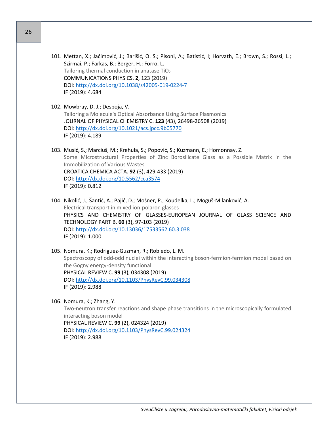- 101. Mettan, X.; Jaćimović, J.; Barišić, O. S.; Pisoni, A.; Batistić, I; Horvath, E.; Brown, S.; Rossi, L.; Szirmai, P.; Farkas, B.; Berger, H.; Forro, L. Tailoring thermal conduction in anatase  $TiO<sub>2</sub>$ COMMUNICATIONS PHYSICS. **2**, 123 (2019) DOI: [http://dx.doi.org/10.1038/s42005](http://dx.doi.org/10.1038/s42005-019-0224-7)-019-0224-7 IF (2019): 4.684
- 102. Mowbray, D. J.; Despoja, V. Tailoring a Molecule's Optical Absorbance Using Surface Plasmonics JOURNAL OF PHYSICAL CHEMISTRY C. **123** (43), 26498-26508 (2019) DOI:<http://dx.doi.org/10.1021/acs.jpcc.9b05770> IF (2019): 4.189
- 103. Musić, S.; Marciuš, M.; Krehula, S.; Popović, S.; Kuzmann, E.; Homonnay, Z. Some Microstructural Properties of Zinc Borosilicate Glass as a Possible Matrix in the Immobilization of Various Wastes CROATICA CHEMICA ACTA. **92** (3), 429-433 (2019) DOI:<http://dx.doi.org/10.5562/cca3574> IF (2019): 0.812
- 104. Nikolić, J.; Šantić, A.; Pajić, D.; Mošner, P.; Koudelka, L.; Moguš-Milanković, A. Electrical transport in mixed ion-polaron glasses PHYSICS AND CHEMISTRY OF GLASSES-EUROPEAN JOURNAL OF GLASS SCIENCE AND TECHNOLOGY PART B. **60** (3), 97-103 (2019) DOI:<http://dx.doi.org/10.13036/17533562.60.3.038> IF (2019): 1.000
- 105. Nomura, K.; Rodriguez-Guzman, R.; Robledo, L. M. Spectroscopy of odd-odd nuclei within the interacting boson-fermion-fermion model based on the Gogny energy-density functional PHYSICAL REVIEW C. **99** (3), 034308 (2019) DOI:<http://dx.doi.org/10.1103/PhysRevC.99.034308> IF (2019): 2.988
- 106. Nomura, K.; Zhang, Y. Two-neutron transfer reactions and shape phase transitions in the microscopically formulated interacting boson model PHYSICAL REVIEW C. **99** (2), 024324 (2019) DOI:<http://dx.doi.org/10.1103/PhysRevC.99.024324> IF (2019): 2.988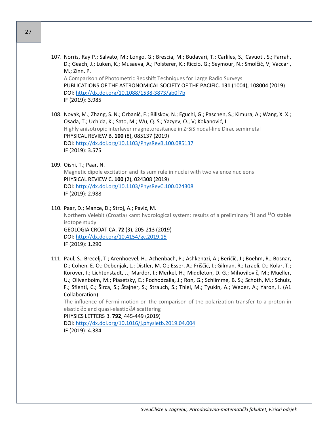- 27
- 107. Norris, Ray P.; Salvato, M.; Longo, G.; Brescia, M.; Budavari, T.; Carliles, S.; Cavuoti, S.; Farrah, D.; Geach, J.; Luken, K.; Musaeva, A.; Polsterer, K.; Riccio, G.; Seymour, N.; Smolčić, V; Vaccari, M.; Zinn, P. A Comparison of Photometric Redshift Techniques for Large Radio Surveys PUBLICATIONS OF THE ASTRONOMICAL SOCIETY OF THE PACIFIC. **131** (1004), 108004 (2019) DOI: [http://dx.doi.org/10.1088/1538](http://dx.doi.org/10.1088/1538-3873/ab0f7b)-3873/ab0f7b IF (2019): 3.985
- 108. Novak, M.; Zhang, S. N.; Orbanić, F.; Biliskov, N.; Eguchi, G.; Paschen, S.; Kimura, A.; Wang, X. X.; Osada, T.; Uchida, K.; Sato, M.; Wu, Q. S.; Yazyev, O., V; Kokanović, I Highly anisotropic interlayer magnetoresitance in ZrSiS nodal-line Dirac semimetal PHYSICAL REVIEW B. **100** (8), 085137 (2019) DOI:<http://dx.doi.org/10.1103/PhysRevB.100.085137> IF (2019): 3.575
- 109. Oishi, T.; Paar, N.

Magnetic dipole excitation and its sum rule in nuclei with two valence nucleons PHYSICAL REVIEW C. **100** (2), 024308 (2019) DOI:<http://dx.doi.org/10.1103/PhysRevC.100.024308> IF (2019): 2.988

- 110. Paar, D.; Mance, D.; Stroj, A.; Pavić, M. Northern Velebit (Croatia) karst hydrological system: results of a preliminary  $2H$  and  $18O$  stable isotope study GEOLOGIA CROATICA. **72** (3), 205-213 (2019) DOI:<http://dx.doi.org/10.4154/gc.2019.15> IF (2019): 1.290
- 111. Paul, S.; Brecelj, T.; Arenhoevel, H.; Achenbach, P.; Ashkenazi, A.; Beričič, J.; Boehm, R.; Bosnar, D.; Cohen, E. O.; Debenjak, L.; Distler, M. O.; Esser, A.; Friščić, I.; Gilman, R.; Izraeli, D.; Kolar, T.; Korover, I.; Lichtenstadt, J.; Mardor, I.; Merkel, H.; Middleton, D. G.; Mihovilovič, M.; Mueller, U.; Olivenboim, M.; Piasetzky, E.; Pochodzalla, J.; Ron, G.; Schlimme, B. S.; Schoth, M.; Schulz, F.; Sfienti, C.; Širca, S.; Štajner, S.; Strauch, S.; Thiel, M.; Tyukin, A.; Weber, A.; Yaron, I. (A1 Collaboration)

The influence of Fermi motion on the comparison of the polarization transfer to a proton in elastic ep and quasi-elastic e<sup>A</sup> scattering

PHYSICS LETTERS B. **792**, 445-449 (2019) DOI:<http://dx.doi.org/10.1016/j.physletb.2019.04.004> IF (2019): 4.384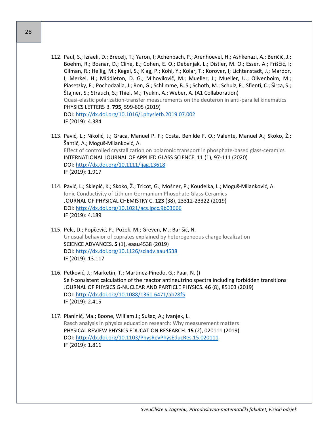- 112. Paul, S.; Izraeli, D.; Brecelj, T.; Yaron, I; Achenbach, P.; Arenhoevel, H.; Ashkenazi, A.; Beričič, J.; Boehm, R.; Bosnar, D.; Cline, E.; Cohen, E. O.; Debenjak, L.; Distler, M. O.; Esser, A.; Friščić, I; Gilman, R.; Heilig, M.; Kegel, S.; Klag, P.; Kohl, Y.; Kolar, T.; Korover, I; Lichtenstadt, J.; Mardor, I; Merkel, H.; Middleton, D. G.; Mihovilovič, M.; Mueller, J.; Mueller, U.; Olivenboim, M.; Piasetzky, E.; Pochodzalla, J.; Ron, G.; Schlimme, B. S.; Schoth, M.; Schulz, F.; Sfienti, C.; Širca, S.; Štajner, S.; Strauch, S.; Thiel, M.; Tyukin, A.; Weber, A. (A1 Collaboration) Quasi-elastic polarization-transfer measurements on the deuteron in anti-parallel kinematics PHYSICS LETTERS B. **795**, 599-605 (2019) DOI:<http://dx.doi.org/10.1016/j.physletb.2019.07.002> IF (2019): 4.384
- 113. Pavić, L.; Nikolić, J.; Graca, Manuel P. F.; Costa, Benilde F. O.; Valente, Manuel A.; Skoko, Ž.; Šantić, A.; Moguš-Milanković, A. Effect of controlled crystallization on polaronic transport in phosphate-based glass-ceramics INTERNATIONAL JOURNAL OF APPLIED GLASS SCIENCE. **11** (1), 97-111 (2020) DOI:<http://dx.doi.org/10.1111/ijag.13618> IF (2019): 1.917
- 114. Pavić, L.; Sklepić, K.; Skoko, Ž.; Tricot, G.; Mošner, P.; Koudelka, L.; Moguš-Milanković, A. Ionic Conductivity of Lithium Germanium Phosphate Glass-Ceramics JOURNAL OF PHYSICAL CHEMISTRY C. **123** (38), 23312-23322 (2019) DOI:<http://dx.doi.org/10.1021/acs.jpcc.9b03666> IF (2019): 4.189
- 115. Pelc, D.; Popčević, P.; Požek, M.; Greven, M.; Barišić, N. Unusual behavior of cuprates explained by heterogeneous charge localization SCIENCE ADVANCES. **5** (1), eaau4538 (2019) DOI:<http://dx.doi.org/10.1126/sciadv.aau4538> IF (2019): 13.117
- 116. Petković, J.; Marketin, T.; Martinez-Pinedo, G.; Paar, N. () Self-consistent calculation of the reactor antineutrino spectra including forbidden transitions JOURNAL OF PHYSICS G-NUCLEAR AND PARTICLE PHYSICS. **46** (8), 85103 (2019) DOI: [http://dx.doi.org/10.1088/1361](http://dx.doi.org/10.1088/1361-6471/ab28f5)-6471/ab28f5 IF (2019): 2.415
- 117. Planinić, Ma.; Boone, William J.; Sušac, A.; Ivanjek, L. Rasch analysis in physics education research: Why measurement matters PHYSICAL REVIEW PHYSICS EDUCATION RESEARCH. **15** (2), 020111 (2019) DOI:<http://dx.doi.org/10.1103/PhysRevPhysEducRes.15.020111> IF (2019): 1.811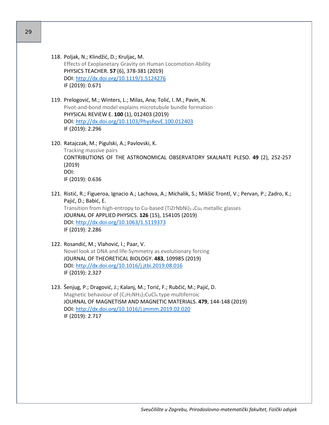| 118. Poljak, N.; Klindžić, D.; Kruljac, M.                  |
|-------------------------------------------------------------|
| Effects of Exoplanetary Gravity on Human Locomotion Ability |
| PHYSICS TEACHER. 57 (6), 378-381 (2019)                     |
| DOI: http://dx.doi.org/10.1119/1.5124276                    |
| IF (2019): 0.671                                            |

- 119. Prelogović, M.; Winters, L.; Milas, Ana; Tolić, I. M.; Pavin, N. Pivot-and-bond model explains microtubule bundle formation PHYSICAL REVIEW E. **100** (1), 012403 (2019) DOI:<http://dx.doi.org/10.1103/PhysRevE.100.012403> IF (2019): 2.296
- 120. Ratajczak, M.; Pigulski, A.; Pavlovski, K. Tracking massive pairs CONTRIBUTIONS OF THE ASTRONOMICAL OBSERVATORY SKALNATE PLESO. **49** (2), 252-257 (2019) DOI: IF (2019): 0.636
- 121. Ristić, R.; Figueroa, Ignacio A.; Lachova, A.; Michalik, S.; Mikšić Trontl, V.; Pervan, P.; Zadro, K.; Pajić, D.; Babić, E. Transition from high-entropy to Cu-based (TiZrNbNi) $1-x$ Cu<sub>x</sub> metallic glasses JOURNAL OF APPLIED PHYSICS. **126** (15), 154105 (2019) DOI:<http://dx.doi.org/10.1063/1.5119373> IF (2019): 2.286
- 122. Rosandić, M.; Vlahović, I.; Paar, V. Novel look at DNA and life-Symmetry as evolutionary forcing JOURNAL OF THEORETICAL BIOLOGY. **483**, 109985 (2019) DOI:<http://dx.doi.org/10.1016/j.jtbi.2019.08.016> IF (2019): 2.327
- 123. Šenjug, P.; Dragović, J.; Kalanj, M.; Torić, F.; Rubčić, M.; Pajić, D. Magnetic behaviour of  $(C_2H_5NH_3)_2$ CuCl<sub>4</sub> type multiferroic JOURNAL OF MAGNETISM AND MAGNETIC MATERIALS. **479**, 144-148 (2019) DOI:<http://dx.doi.org/10.1016/j.jmmm.2019.02.020> IF (2019): 2.717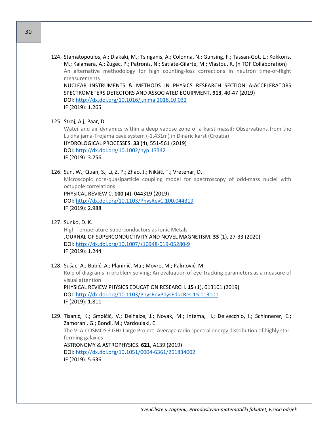124. Stamatopoulos, A.; Diakaki, M.; Tsinganis, A.; Colonna, N.; Gunsing, F.; Tassan-Got, L.; Kokkoris, M.; Kalamara, A.; Žugec, P.; Patronis, N.; Satiate-Gilarte, M.; Vlastou, R. (n TOF Collaboration) An alternative methodology for high counting-loss corrections in neutron time-of-flight measurements

NUCLEAR INSTRUMENTS & METHODS IN PHYSICS RESEARCH SECTION A-ACCELERATORS SPECTROMETERS DETECTORS AND ASSOCIATED EQUIPMENT. **913**, 40-47 (2019) DOI:<http://dx.doi.org/10.1016/j.nima.2018.10.032> IF (2019): 1.265

125. Stroj, A.j; Paar, D.

Water and air dynamics within a deep vadose zone of a karst massif: Observations from the Lukina jama-Trojama cave system (-1,431m) in Dinaric karst (Croatia) HYDROLOGICAL PROCESSES. **33** (4), 551-561 (2019) DOI:<http://dx.doi.org/10.1002/hyp.13342> IF (2019): 3.256

126. Sun, W.; Quan, S.; Li, Z. P.; Zhao, J.; Nikšić, T.; Vretenar, D.

Microscopic core-quasiparticle coupling model for spectroscopy of odd-mass nuclei with octupole correlations

PHYSICAL REVIEW C. **100** (4), 044319 (2019) DOI:<http://dx.doi.org/10.1103/PhysRevC.100.044319> IF (2019): 2.988

127. Sunko, D. K.

High-Temperature Superconductors as Ionic Metals JOURNAL OF SUPERCONDUCTIVITY AND NOVEL MAGNETISM. **33** (1), 27-33 (2020) DOI: [http://dx.doi.org/10.1007/s10948](http://dx.doi.org/10.1007/s10948-019-05280-9)-019-05280-9 IF (2019): 1.244

128. Sušac, A.; Bubić, A.; Planinić, Ma.; Movre, M.; Palmović, M. Role of diagrams in problem solving: An evaluation of eye-tracking parameters as a measure of visual attention PHYSICAL REVIEW PHYSICS EDUCATION RESEARCH. **15** (1), 013101 (2019) DOI:<http://dx.doi.org/10.1103/PhysRevPhysEducRes.15.013101> IF (2019): 1.811

129. Tisanić, K.; Smolčić, V.; Delhaize, J.; Novak, M.; Intema, H.; Delvecchio, I.; Schinnerer, E.; Zamorani, G.; Bondi, M.; Vardoulaki, E. The VLA-COSMOS 3 GHz Large Project: Average radio spectral energy distribution of highly starforming galaxies ASTRONOMY & ASTROPHYSICS. **621**, A139 (2019) DOI: [http://dx.doi.org/10.1051/0004](http://dx.doi.org/10.1051/0004-6361/201834002)-6361/201834002 IF (2019): 5.636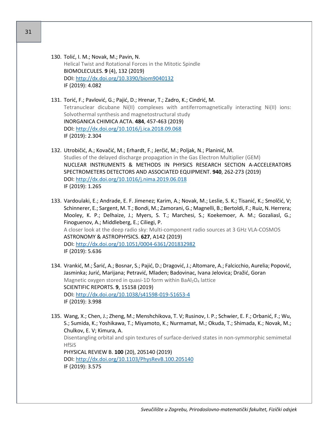130. Tolić, I. M.; Novak, M.; Pavin, N. Helical Twist and Rotational Forces in the Mitotic Spindle BIOMOLECULES. **9** (4), 132 (2019) DOI:<http://dx.doi.org/10.3390/biom9040132> IF (2019): 4.082

131. Torić, F.; Pavlović, G.; Pajić, D.; Hrenar, T.; Zadro, K.; Cindrić, M. Tetranuclear dicubane Ni(II) complexes with antiferromagnetically interacting Ni(II) ions: Solvothermal synthesis and magnetostructural study INORGANICA CHIMICA ACTA. **484**, 457-463 (2019) DOI:<http://dx.doi.org/10.1016/j.ica.2018.09.068> IF (2019): 2.304

- 132. Utrobičić, A.; Kovačić, M.; Erhardt, F.; Jerčić, M.; Poljak, N.; Planinić, M. Studies of the delayed discharge propagation in the Gas Electron Multiplier (GEM) NUCLEAR INSTRUMENTS & METHODS IN PHYSICS RESEARCH SECTION A-ACCELERATORS SPECTROMETERS DETECTORS AND ASSOCIATED EQUIPMENT. **940**, 262-273 (2019) DOI:<http://dx.doi.org/10.1016/j.nima.2019.06.018> IF (2019): 1.265
- 133. Vardoulaki, E.; Andrade, E. F. Jimenez; Karim, A.; Novak, M.; Leslie, S. K.; Tisanić, K.; Smolčić, V; Schinnerer, E.; Sargent, M. T.; Bondi, M.; Zamorani, G.; Magnelli, B.; Bertoldi, F.; Ruiz, N. Herrera; Mooley, K. P.; Delhaize, J.; Myers, S. T.; Marchesi, S.; Koekemoer, A. M.; Gozaliasl, G.; Finoguenov, A.; Middleberg, E.; Ciliegi, P. A closer look at the deep radio sky: Multi-component radio sources at 3 GHz VLA-COSMOS ASTRONOMY & ASTROPHYSICS. **627**, A142 (2019) DOI: [http://dx.doi.org/10.1051/0004](http://dx.doi.org/10.1051/0004-6361/201832982)-6361/201832982 IF (2019): 5.636
- 134. Vrankić, M.; Šarić, A.; Bosnar, S.; Pajić, D.; Dragović, J.; Altomare, A.; Falcicchio, Aurelia; Popović, Jasminka; Jurić, Marijana; Petravić, Mladen; Badovinac, Ivana Jelovica; Dražić, Goran Magnetic oxygen stored in quasi-1D form within BaAl<sub>2</sub>O<sub>4</sub> lattice SCIENTIFIC REPORTS. **9**, 15158 (2019) DOI: [http://dx.doi.org/10.1038/s41598](http://dx.doi.org/10.1038/s41598-019-51653-4)-019-51653-4 IF (2019): 3.998

135. Wang, X.; Chen, J.; Zheng, M.; Menshchikova, T. V; Rusinov, I. P.; Schwier, E. F.; Orbanić, F.; Wu, S.; Sumida, K.; Yoshikawa, T.; Miyamoto, K.; Nurmamat, M.; Okuda, T.; Shimada, K.; Novak, M.; Chulkov, E. V; Kimura, A. Disentangling orbital and spin textures of surface-derived states in non-symmorphic semimetal **HfSiS** PHYSICAL REVIEW B. **100** (20), 205140 (2019) DOI:<http://dx.doi.org/10.1103/PhysRevB.100.205140> IF (2019): 3.575

31